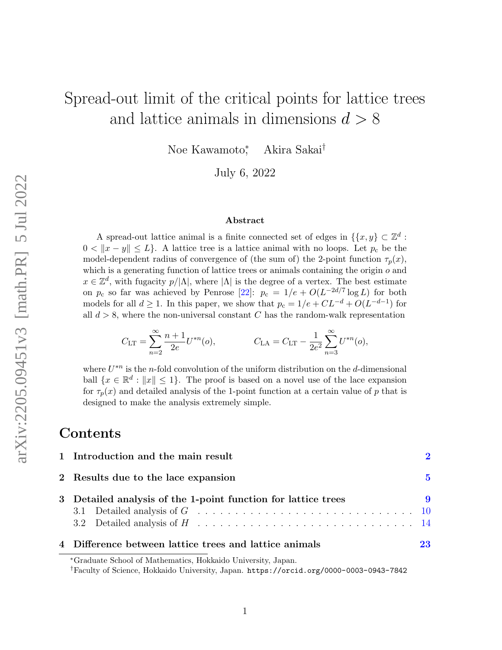# Spread-out limit of the critical points for lattice trees and lattice animals in dimensions  $d > 8$

Noe Kawamoto<sup>∗</sup> , Akira Sakai†

July 6, 2022

#### Abstract

A spread-out lattice animal is a finite connected set of edges in  $\{\{x, y\} \subset \mathbb{Z}^d$ :  $0 < ||x - y|| \le L$ . A lattice tree is a lattice animal with no loops. Let  $p_c$  be the model-dependent radius of convergence of (the sum of) the 2-point function  $\tau_p(x)$ , which is a generating function of lattice trees or animals containing the origin  $o$  and  $x \in \mathbb{Z}^d$ , with fugacity  $p/|\Lambda|$ , where  $|\Lambda|$  is the degree of a vertex. The best estimate on  $p_c$  so far was achieved by Penrose [\[22\]](#page-31-0):  $p_c = 1/e + O(L^{-2d/7} \log L)$  for both models for all  $d \geq 1$ . In this paper, we show that  $p_c = 1/e + CL^{-d} + O(L^{-d-1})$  for all  $d > 8$ , where the non-universal constant C has the random-walk representation

$$
C_{\text{LT}} = \sum_{n=2}^{\infty} \frac{n+1}{2e} U^{*n}(o), \qquad C_{\text{LA}} = C_{\text{LT}} - \frac{1}{2e^2} \sum_{n=3}^{\infty} U^{*n}(o),
$$

where  $U^{*n}$  is the *n*-fold convolution of the uniform distribution on the *d*-dimensional ball  $\{x \in \mathbb{R}^d : ||x|| \leq 1\}$ . The proof is based on a novel use of the lace expansion for  $\tau_p(x)$  and detailed analysis of the 1-point function at a certain value of p that is designed to make the analysis extremely simple.

### Contents

| 1 Introduction and the main result                            |                       |
|---------------------------------------------------------------|-----------------------|
| 2 Results due to the lace expansion                           | .5                    |
| 3 Detailed analysis of the 1-point function for lattice trees | $\boldsymbol{\Omega}$ |
|                                                               |                       |
|                                                               |                       |
| 4 Difference between lattice trees and lattice animals        | 23                    |

<sup>∗</sup>Graduate School of Mathematics, Hokkaido University, Japan.

<sup>†</sup>Faculty of Science, Hokkaido University, Japan. <https://orcid.org/0000-0003-0943-7842>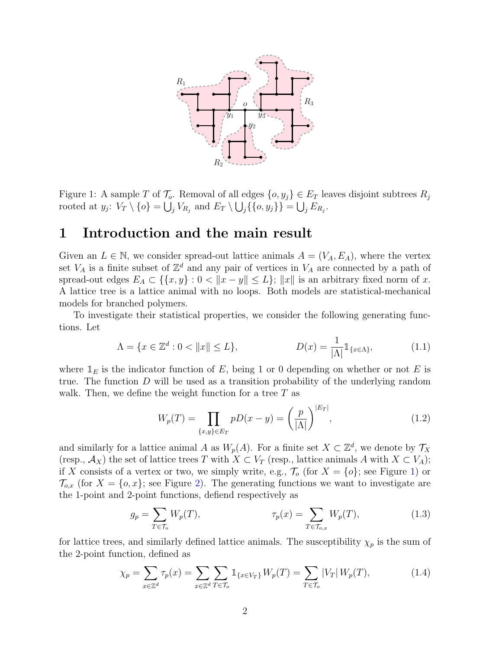

<span id="page-1-1"></span>Figure 1: A sample T of  $\mathcal{T}_o$ . Removal of all edges  $\{o, y_i\} \in E_T$  leaves disjoint subtrees  $R_i$ rooted at  $y_j$ :  $V_T \setminus \{o\} = \bigcup_j V_{R_j}$  and  $E_T \setminus \bigcup_j \{\{o, y_j\}\} = \bigcup_j E_{R_j}$ .

### <span id="page-1-0"></span>1 Introduction and the main result

Given an  $L \in \mathbb{N}$ , we consider spread-out lattice animals  $A = (V_A, E_A)$ , where the vertex set  $V_A$  is a finite subset of  $\mathbb{Z}^d$  and any pair of vertices in  $V_A$  are connected by a path of spread-out edges  $E_A \subset \{ \{x, y\} : 0 < ||x - y|| \le L \}$ ;  $||x||$  is an arbitrary fixed norm of x. A lattice tree is a lattice animal with no loops. Both models are statistical-mechanical models for branched polymers.

To investigate their statistical properties, we consider the following generating functions. Let

$$
\Lambda = \{ x \in \mathbb{Z}^d : 0 < \|x\| \le L \}, \qquad D(x) = \frac{1}{|\Lambda|} \mathbb{1}_{\{x \in \Lambda\}}, \tag{1.1}
$$

where  $\mathbb{1}_E$  is the indicator function of E, being 1 or 0 depending on whether or not E is true. The function D will be used as a transition probability of the underlying random walk. Then, we define the weight function for a tree  $T$  as

<span id="page-1-3"></span>
$$
W_p(T) = \prod_{\{x,y\} \in E_T} pD(x-y) = \left(\frac{p}{|\Lambda|}\right)^{|E_T|},\tag{1.2}
$$

and similarly for a lattice animal A as  $W_p(A)$ . For a finite set  $X \subset \mathbb{Z}^d$ , we denote by  $\mathcal{T}_X$ (resp.,  $\mathcal{A}_X$ ) the set of lattice trees T with  $X \subset V_T$  (resp., lattice animals A with  $X \subset V_A$ ); if X consists of a vertex or two, we simply write, e.g.,  $\mathcal{T}_{o}$  (for  $X = \{o\}$ ; see Figure [1\)](#page-1-1) or  $\mathcal{T}_{o,x}$  (for  $X = \{o,x\}$ ; see Figure [2\)](#page-2-0). The generating functions we want to investigate are the 1-point and 2-point functions, defiend respectively as

<span id="page-1-2"></span>
$$
g_p = \sum_{T \in \mathcal{T}_o} W_p(T), \qquad \qquad \tau_p(x) = \sum_{T \in \mathcal{T}_{o,x}} W_p(T), \qquad (1.3)
$$

for lattice trees, and similarly defined lattice animals. The susceptibility  $\chi_p$  is the sum of the 2-point function, defined as

$$
\chi_p = \sum_{x \in \mathbb{Z}^d} \tau_p(x) = \sum_{x \in \mathbb{Z}^d} \sum_{T \in \mathcal{T}_o} \mathbb{1}_{\{x \in V_T\}} W_p(T) = \sum_{T \in \mathcal{T}_o} |V_T| W_p(T), \tag{1.4}
$$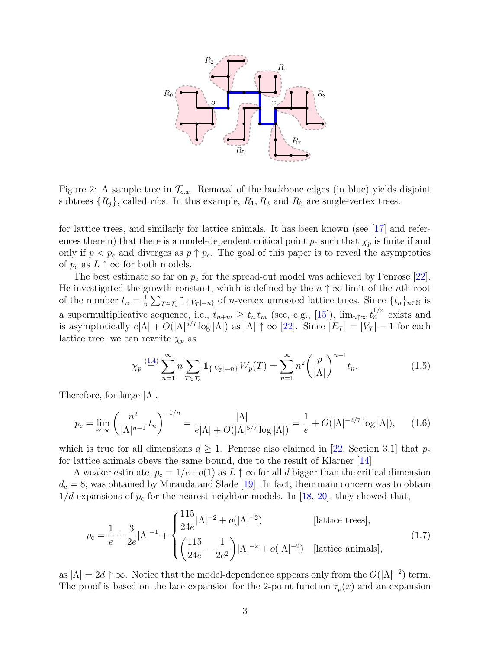

<span id="page-2-0"></span>Figure 2: A sample tree in  $\mathcal{T}_{o,x}$ . Removal of the backbone edges (in blue) yields disjoint subtrees  $\{R_j\}$ , called ribs. In this example,  $R_1, R_3$  and  $R_6$  are single-vertex trees.

for lattice trees, and similarly for lattice animals. It has been known (see [\[17\]](#page-31-1) and references therein) that there is a model-dependent critical point  $p_c$  such that  $\chi_p$  is finite if and only if  $p < p_c$  and diverges as  $p \uparrow p_c$ . The goal of this paper is to reveal the asymptotics of  $p_c$  as  $L \uparrow \infty$  for both models.

The best estimate so far on  $p_c$  for the spread-out model was achieved by Penrose [\[22\]](#page-31-0). He investigated the growth constant, which is defined by the  $n \uparrow \infty$  limit of the nth root of the number  $t_n = \frac{1}{n}$  $\frac{1}{n}\sum_{T\in\mathcal{T}_o} \mathbb{1}_{\{|V_T|=n\}}$  of *n*-vertex unrooted lattice trees. Since  $\{t_n\}_{n\in\mathbb{N}}$  is a supermultiplicative sequence, i.e.,  $t_{n+m} \geq t_n t_m$  (see, e.g., [\[15\]](#page-30-0)),  $\lim_{n \uparrow \infty} t_n^{1/n}$  exists and is asymptotically  $e|\Lambda| + O(|\Lambda|^{5/7} \log |\Lambda|)$  as  $|\Lambda| \uparrow \infty$  [\[22\]](#page-31-0). Since  $|E_T| = |V_T| - 1$  for each lattice tree, we can rewrite  $\chi_p$  as

$$
\chi_p \stackrel{(1.4)}{=} \sum_{n=1}^{\infty} n \sum_{T \in \mathcal{T}_o} \mathbb{1}_{\{|V_T| = n\}} W_p(T) = \sum_{n=1}^{\infty} n^2 \left(\frac{p}{|\Lambda|}\right)^{n-1} t_n.
$$
 (1.5)

Therefore, for large  $|\Lambda|$ ,

$$
p_{\rm c} = \lim_{n \uparrow \infty} \left( \frac{n^2}{|\Lambda|^{n-1}} t_n \right)^{-1/n} = \frac{|\Lambda|}{e|\Lambda| + O(|\Lambda|^{5/7} \log |\Lambda|)} = \frac{1}{e} + O(|\Lambda|^{-2/7} \log |\Lambda|), \tag{1.6}
$$

which is true for all dimensions  $d \geq 1$ . Penrose also claimed in [\[22,](#page-31-0) Section 3.1] that  $p_c$ for lattice animals obeys the same bound, due to the result of Klarner [\[14\]](#page-30-1).

A weaker estimate,  $p_c = 1/e + o(1)$  as  $L \uparrow \infty$  for all d bigger than the critical dimension  $d_c = 8$ , was obtained by Miranda and Slade [\[19\]](#page-31-2). In fact, their main concern was to obtain  $1/d$  expansions of  $p_c$  for the nearest-neighbor models. In [\[18,](#page-31-3) [20\]](#page-31-4), they showed that,

<span id="page-2-1"></span>
$$
p_c = \frac{1}{e} + \frac{3}{2e} |\Lambda|^{-1} + \begin{cases} \frac{115}{24e} |\Lambda|^{-2} + o(|\Lambda|^{-2}) & \text{[lattice trees]},\\ \left(\frac{115}{24e} - \frac{1}{2e^2}\right) |\Lambda|^{-2} + o(|\Lambda|^{-2}) & \text{[lattice animals]}, \end{cases} \tag{1.7}
$$

as  $|\Lambda| = 2d \uparrow \infty$ . Notice that the model-dependence appears only from the  $O(|\Lambda|^{-2})$  term. The proof is based on the lace expansion for the 2-point function  $\tau_p(x)$  and an expansion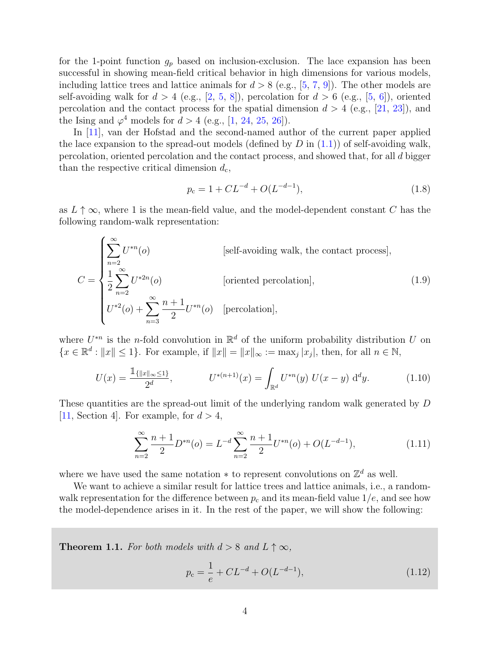for the 1-point function  $g_p$  based on inclusion-exclusion. The lace expansion has been successful in showing mean-field critical behavior in high dimensions for various models, including lattice trees and lattice animals for  $d > 8$  (e.g., [\[5,](#page-30-2) [7,](#page-30-3) [9\]](#page-30-4)). The other models are self-avoiding walk for  $d > 4$  (e.g., [\[2,](#page-30-5) [5,](#page-30-2) [8\]](#page-30-6)), percolation for  $d > 6$  (e.g., [\[5,](#page-30-2) [6\]](#page-30-7)), oriented percolation and the contact process for the spatial dimension  $d > 4$  (e.g., [\[21,](#page-31-5) [23\]](#page-31-6)), and the Ising and  $\varphi^4$  models for  $d > 4$  (e.g., [\[1,](#page-30-8) [24,](#page-31-7) [25,](#page-31-8) [26\]](#page-31-9)).

In [\[11\]](#page-30-9), van der Hofstad and the second-named author of the current paper applied the lace expansion to the spread-out models (defined by  $D$  in  $(1.1)$ ) of self-avoiding walk, percolation, oriented percolation and the contact process, and showed that, for all d bigger than the respective critical dimension  $d_c$ ,

$$
p_{\rm c} = 1 + CL^{-d} + O(L^{-d-1}),\tag{1.8}
$$

as  $L \uparrow \infty$ , where 1 is the mean-field value, and the model-dependent constant C has the following random-walk representation:

$$
C = \begin{cases} \sum_{n=2}^{\infty} U^{*n}(o) & \text{[self-avoiding walk, the contact process]},\\ \frac{1}{2} \sum_{n=2}^{\infty} U^{*2n}(o) & \text{[oriented percolation]},\\ U^{*2}(o) + \sum_{n=3}^{\infty} \frac{n+1}{2} U^{*n}(o) & \text{[percolation]}, \end{cases}
$$
(1.9)

where  $U^{*n}$  is the *n*-fold convolution in  $\mathbb{R}^d$  of the uniform probability distribution U on  $\{x \in \mathbb{R}^d : ||x|| \leq 1\}$ . For example, if  $||x|| = ||x||_{\infty} := \max_j |x_j|$ , then, for all  $n \in \mathbb{N}$ ,

$$
U(x) = \frac{\mathbb{1}_{\{|x\|_{\infty}\leq 1\}}}{2^d}, \qquad U^{*(n+1)}(x) = \int_{\mathbb{R}^d} U^{*n}(y) U(x-y) \, \mathrm{d}^d y. \tag{1.10}
$$

These quantities are the spread-out limit of the underlying random walk generated by D [\[11,](#page-30-9) Section 4]. For example, for  $d > 4$ ,

$$
\sum_{n=2}^{\infty} \frac{n+1}{2} D^{*n}(o) = L^{-d} \sum_{n=2}^{\infty} \frac{n+1}{2} U^{*n}(o) + O(L^{-d-1}), \tag{1.11}
$$

where we have used the same notation  $*$  to represent convolutions on  $\mathbb{Z}^d$  as well.

We want to achieve a similar result for lattice trees and lattice animals, i.e., a randomwalk representation for the difference between  $p_c$  and its mean-field value  $1/e$ , and see how the model-dependence arises in it. In the rest of the paper, we will show the following:

<span id="page-3-1"></span>**Theorem 1.1.** For both models with  $d > 8$  and  $L \uparrow \infty$ ,

<span id="page-3-0"></span>
$$
p_c = \frac{1}{e} + CL^{-d} + O(L^{-d-1}),\tag{1.12}
$$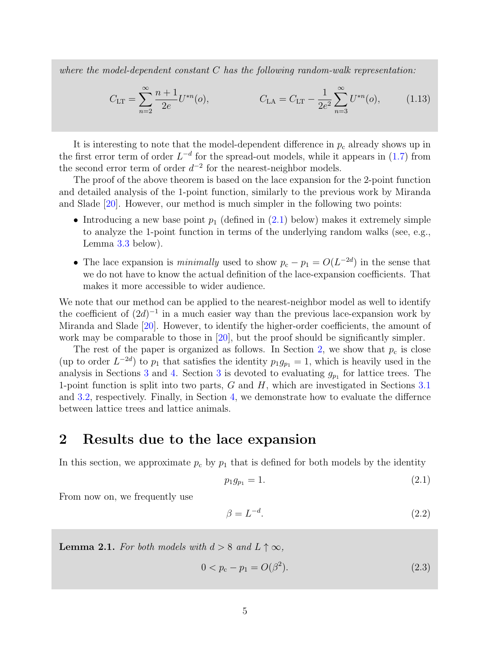where the model-dependent constant  $C$  has the following random-walk representation:

<span id="page-4-3"></span>
$$
C_{\text{LT}} = \sum_{n=2}^{\infty} \frac{n+1}{2e} U^{*n}(o), \qquad C_{\text{LA}} = C_{\text{LT}} - \frac{1}{2e^2} \sum_{n=3}^{\infty} U^{*n}(o), \qquad (1.13)
$$

It is interesting to note that the model-dependent difference in  $p_c$  already shows up in the first error term of order  $L^{-d}$  for the spread-out models, while it appears in [\(1.7\)](#page-2-1) from the second error term of order  $d^{-2}$  for the nearest-neighbor models.

The proof of the above theorem is based on the lace expansion for the 2-point function and detailed analysis of the 1-point function, similarly to the previous work by Miranda and Slade [\[20\]](#page-31-4). However, our method is much simpler in the following two points:

- Introducing a new base point  $p_1$  (defined in [\(2.1\)](#page-4-1) below) makes it extremely simple to analyze the 1-point function in terms of the underlying random walks (see, e.g., Lemma [3.3](#page-11-0) below).
- The lace expansion is *minimally* used to show  $p_c p_1 = O(L^{-2d})$  in the sense that we do not have to know the actual definition of the lace-expansion coefficients. That makes it more accessible to wider audience.

We note that our method can be applied to the nearest-neighbor model as well to identify the coefficient of  $(2d)^{-1}$  in a much easier way than the previous lace-expansion work by Miranda and Slade [\[20\]](#page-31-4). However, to identify the higher-order coefficients, the amount of work may be comparable to those in [\[20\]](#page-31-4), but the proof should be significantly simpler.

The rest of the paper is organized as follows. In Section [2,](#page-4-0) we show that  $p_c$  is close (up to order  $L^{-2d}$ ) to  $p_1$  that satisfies the identity  $p_1g_{p_1} = 1$ , which is heavily used in the analysis in Sections [3](#page-8-0) and [4.](#page-22-0) Section 3 is devoted to evaluating  $g_{p_1}$  for lattice trees. The 1-point function is split into two parts,  $G$  and  $H$ , which are investigated in Sections [3.1](#page-9-0) and [3.2,](#page-13-0) respectively. Finally, in Section [4,](#page-22-0) we demonstrate how to evaluate the differnce between lattice trees and lattice animals.

### <span id="page-4-0"></span>2 Results due to the lace expansion

In this section, we approximate  $p_c$  by  $p_1$  that is defined for both models by the identity

<span id="page-4-1"></span>
$$
p_1 g_{p_1} = 1. \t\t(2.1)
$$

From now on, we frequently use

<span id="page-4-4"></span>
$$
\beta = L^{-d}.\tag{2.2}
$$

<span id="page-4-2"></span>**Lemma 2.1.** For both models with  $d > 8$  and  $L \uparrow \infty$ ,

$$
0 < p_c - p_1 = O(\beta^2). \tag{2.3}
$$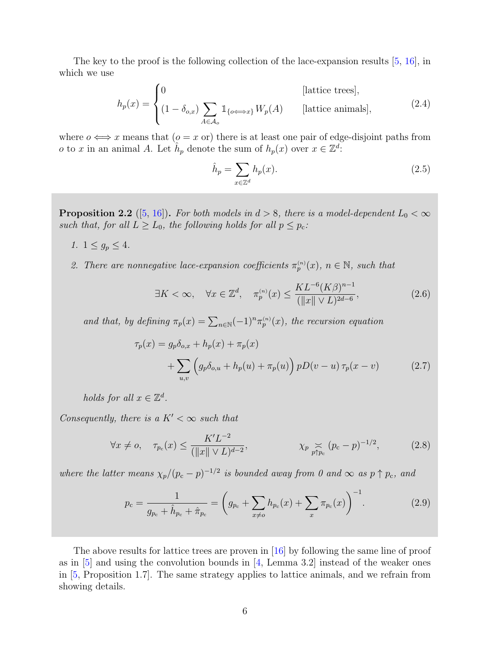The key to the proof is the following collection of the lace-expansion results [\[5,](#page-30-2) [16\]](#page-31-10), in which we use

$$
h_p(x) = \begin{cases} 0 & \text{[lattice trees]},\\ (1 - \delta_{o,x}) \sum_{A \in \mathcal{A}_o} \mathbb{1}_{\{o \Longleftrightarrow x\}} W_p(A) & \text{[lattice animals]}, \end{cases}
$$
(2.4)

where  $o \iff x$  means that  $(o = x \text{ or})$  there is at least one pair of edge-disjoint paths from *o* to *x* in an animal *A*. Let  $\hat{h}_p$  denote the sum of  $h_p(x)$  over  $x \in \mathbb{Z}^d$ :

<span id="page-5-0"></span>
$$
\hat{h}_p = \sum_{x \in \mathbb{Z}^d} h_p(x). \tag{2.5}
$$

**Proposition 2.2** ([\[5,](#page-30-2) [16\]](#page-31-10)). For both models in  $d > 8$ , there is a model-dependent  $L_0 < \infty$ such that, for all  $L \ge L_0$ , the following holds for all  $p \le p_c$ .

- 1.  $1 \le g_p \le 4$ .
- 2. There are nonnegative lace-expansion coefficients  $\pi_p^{(n)}(x)$ ,  $n \in \mathbb{N}$ , such that

<span id="page-5-3"></span>
$$
\exists K < \infty, \quad \forall x \in \mathbb{Z}^d, \quad \pi_p^{(n)}(x) \le \frac{KL^{-6}(K\beta)^{n-1}}{(\|x\| \vee L)^{2d-6}},\tag{2.6}
$$

and that, by defining  $\pi_p(x) = \sum_{n \in \mathbb{N}} (-1)^n \pi_p^{(n)}(x)$ , the recursion equation

<span id="page-5-1"></span>
$$
\tau_p(x) = g_p \delta_{o,x} + h_p(x) + \pi_p(x) \n+ \sum_{u,v} \left( g_p \delta_{o,u} + h_p(u) + \pi_p(u) \right) pD(v - u) \tau_p(x - v)
$$
\n(2.7)

holds for all  $x \in \mathbb{Z}^d$ .

Consequently, there is a  $K' < \infty$  such that

$$
\forall x \neq o, \quad \tau_{p_c}(x) \le \frac{K'L^{-2}}{(\|x\| \vee L)^{d-2}}, \qquad \chi_{p} \underset{p \uparrow p_c}{\asymp} (p_c - p)^{-1/2}, \qquad (2.8)
$$

where the latter means  $\chi_p/(p_c-p)^{-1/2}$  is bounded away from 0 and  $\infty$  as  $p \uparrow p_c$ , and

<span id="page-5-2"></span>
$$
p_{\rm c} = \frac{1}{g_{p_{\rm c}} + \hat{h}_{p_{\rm c}} + \hat{\pi}_{p_{\rm c}}} = \left( g_{p_{\rm c}} + \sum_{x \neq o} h_{p_{\rm c}}(x) + \sum_{x} \pi_{p_{\rm c}}(x) \right)^{-1}.
$$
 (2.9)

The above results for lattice trees are proven in [\[16\]](#page-31-10) by following the same line of proof as in  $[5]$  and using the convolution bounds in  $[4]$ , Lemma 3.2 instead of the weaker ones in [\[5,](#page-30-2) Proposition 1.7]. The same strategy applies to lattice animals, and we refrain from showing details.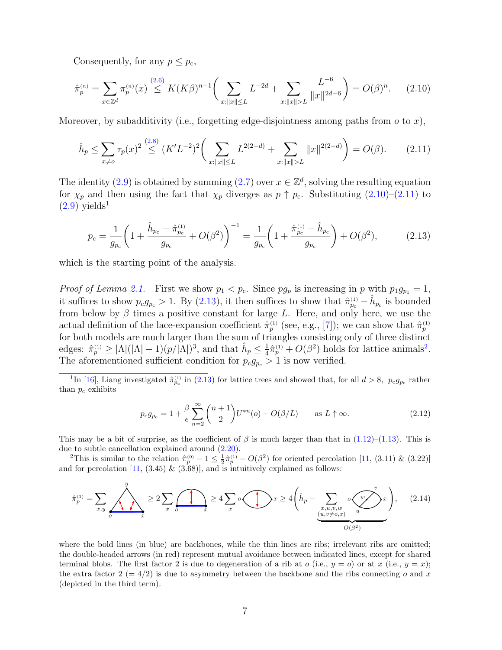<span id="page-6-0"></span>Consequently, for any  $p \leq p_{\rm c}$ ,

$$
\hat{\pi}_p^{(n)} = \sum_{x \in \mathbb{Z}^d} \pi_p^{(n)}(x) \stackrel{(2.6)}{\leq} K(K\beta)^{n-1} \bigg( \sum_{x : \|x\| \leq L} L^{-2d} + \sum_{x : \|x\| > L} \frac{L^{-6}}{\|x\|^{2d-6}} \bigg) = O(\beta)^n. \tag{2.10}
$$

Moreover, by subadditivity (i.e., forgetting edge-disjointness among paths from  $o$  to  $x$ ),

<span id="page-6-1"></span>
$$
\hat{h}_p \le \sum_{x \neq o} \tau_p(x)^2 \stackrel{(2.8)}{\le} (K'L^{-2})^2 \bigg(\sum_{x: \|x\| \le L} L^{2(2-d)} + \sum_{x: \|x\| > L} \|x\|^{2(2-d)}\bigg) = O(\beta). \tag{2.11}
$$

The identity [\(2.9\)](#page-5-2) is obtained by summing [\(2.7\)](#page-5-3) over  $x \in \mathbb{Z}^d$ , solving the resulting equation for  $\chi_p$  and then using the fact that  $\chi_p$  diverges as  $p \uparrow p_c$ . Substituting  $(2.10)$ – $(2.11)$  to  $(2.9)$  yields<sup>[1](#page-6-2)</sup>

<span id="page-6-3"></span>
$$
p_{\rm c} = \frac{1}{g_{p_{\rm c}}} \left( 1 + \frac{\hat{h}_{p_{\rm c}} - \hat{\pi}_{p_{\rm c}}^{(1)}}{g_{p_{\rm c}}} + O(\beta^2) \right)^{-1} = \frac{1}{g_{p_{\rm c}}} \left( 1 + \frac{\hat{\pi}_{p_{\rm c}}^{(1)} - \hat{h}_{p_{\rm c}}}{g_{p_{\rm c}}} \right) + O(\beta^2),\tag{2.13}
$$

which is the starting point of the analysis.

*Proof of Lemma [2.1.](#page-4-2)* First we show  $p_1 < p_c$ . Since  $pg_p$  is increasing in p with  $p_1g_{p_1} = 1$ , it suffices to show  $p_c g_{p_c} > 1$ . By [\(2.13\)](#page-6-3), it then suffices to show that  $\hat{\pi}_{p_c}^{(1)} - \hat{h}_{p_c}$  is bounded from below by  $\beta$  times a positive constant for large L. Here, and only here, we use the actual definition of the lace-expansion coefficient  $\hat{\pi}_p^{(1)}$  (see, e.g., [\[7\]](#page-30-3)); we can show that  $\hat{\pi}_p^{(1)}$ for both models are much larger than the sum of triangles consisting only of three distinct edges:  $\hat{\pi}_p^{(1)} \geq |\Lambda|(|\Lambda|-1)(p/|\Lambda|)^3$ , and that  $\hat{h}_p \leq \frac{1}{4}$  $\frac{1}{4}\hat{\pi}_p^{(1)} + O(\beta^2)$  $\frac{1}{4}\hat{\pi}_p^{(1)} + O(\beta^2)$  $\frac{1}{4}\hat{\pi}_p^{(1)} + O(\beta^2)$  holds for lattice animals<sup>2</sup>. The aforementioned sufficient condition for  $p_c g_{p_c} > 1$  is now verified.

<span id="page-6-2"></span><sup>1</sup>In [\[16\]](#page-31-10), Liang investigated  $\hat{\pi}_{p_c}^{(1)}$  in [\(2.13\)](#page-6-3) for lattice trees and showed that, for all  $d > 8$ ,  $p_c g_{p_c}$  rather than  $p_c$  exhibits

$$
p_{c}g_{p_{c}} = 1 + \frac{\beta}{e} \sum_{n=2}^{\infty} {n+1 \choose 2} U^{*n}(o) + O(\beta/L) \quad \text{as } L \uparrow \infty.
$$
 (2.12)

This may be a bit of surprise, as the coefficient of  $\beta$  is much larger than that in [\(1.12\)](#page-3-0)–[\(1.13\)](#page-4-3). This is due to subtle cancellation explained around [\(2.20\)](#page-7-0).

<span id="page-6-4"></span><sup>2</sup>This is similar to the relation  $\hat{\pi}_p^{(0)} - 1 \leq \frac{1}{2}\hat{\pi}_p^{(1)} + O(\beta^2)$  for oriented percolation [\[11,](#page-30-9) (3.11) & (3.22)] and for percolation  $[11, (3.45) \& (3.68)]$  $[11, (3.45) \& (3.68)]$ , and is intuitively explained as follows:

$$
\hat{\pi}_p^{(1)} = \sum_{x,y} \underbrace{\left\langle \bigwedge_{o} \bigwedge_{x} \right\rangle}_{x} \ge 2 \sum_{x} \underbrace{\left\langle \bigwedge_{x} \right\rangle}_{x} \ge 4 \sum_{x} \circ \underbrace{\left\langle \bigwedge_{x} \bigwedge_{x} \bigwedge_{x,y,w} \bigwedge_{u} \bigwedge_{u} \bigwedge_{u} \bigwedge_{u} \bigwedge_{u} \bigwedge_{u} \bigwedge_{u} \bigwedge_{u} \bigwedge_{u} \bigwedge_{u} \bigwedge_{u} \bigwedge_{u} \bigwedge_{u} \bigwedge_{u} \bigwedge_{u} \bigwedge_{u} \bigwedge_{u} \bigwedge_{u} \bigwedge_{u} \bigwedge_{u} \bigwedge_{u} \bigwedge_{u} \bigwedge_{u} \bigwedge_{u} \bigwedge_{u} \bigwedge_{u} \bigwedge_{u} \bigwedge_{u} \bigwedge_{u} \bigwedge_{u} \bigwedge_{u} \bigwedge_{u} \bigwedge_{u} \bigwedge_{u} \bigwedge_{u} \bigwedge_{u} \bigwedge_{u} \bigwedge_{u} \bigwedge_{u} \bigwedge_{u} \bigwedge_{u} \bigwedge_{u} \bigwedge_{u} \bigwedge_{u} \bigwedge_{u} \bigwedge_{u} \bigwedge_{u} \bigwedge_{u} \bigwedge_{u} \bigwedge_{u} \bigwedge_{u} \bigwedge_{u} \bigwedge_{u} \bigwedge_{u} \bigwedge_{u} \bigwedge_{u} \bigwedge_{u} \bigwedge_{u} \bigwedge_{u} \bigwedge_{u} \bigwedge_{u} \bigwedge_{u} \bigwedge_{u} \bigwedge_{u} \bigwedge_{u} \bigwedge_{u} \bigwedge_{u} \bigwedge_{u} \bigwedge_{u} \bigwedge_{u} \bigwedge_{u} \bigwedge_{u} \bigwedge_{u} \bigwedge_{u} \bigwedge_{u} \bigwedge_{u} \bigwedge_{u} \bigwedge_{u} \bigwedge_{u} \bigwedge_{u} \bigwedge_{u} \bigwedge_{u} \bigwedge_{u} \bigwedge_{u} \bigwedge_{u} \bigwedge_{u} \bigwedge_{u} \bigwedge_{u} \bigwedge_{u} \bigwedge_{u} \bigwedge_{u} \bigwedge_{u}
$$

where the bold lines (in blue) are backbones, while the thin lines are ribs; irrelevant ribs are omitted; the double-headed arrows (in red) represent mutual avoidance between indicated lines, except for shared terminal blobs. The first factor 2 is due to degeneration of a rib at  $o$  (i.e.,  $y = o$ ) or at x (i.e.,  $y = x$ ); the extra factor  $2 (= 4/2)$  is due to asymmetry between the backbone and the ribs connecting o and x (depicted in the third term).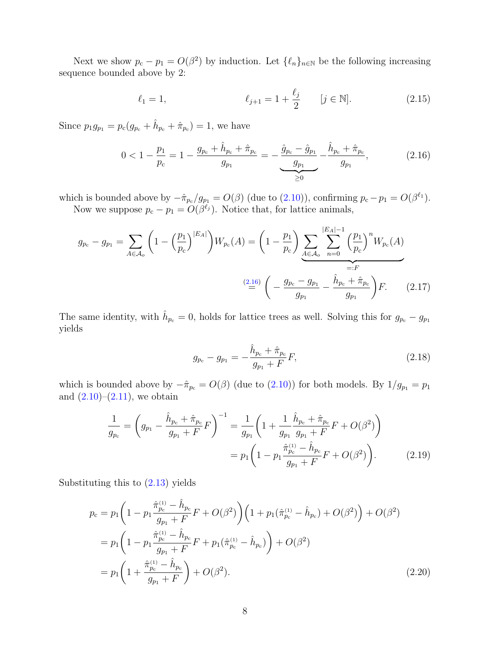Next we show  $p_c - p_1 = O(\beta^2)$  by induction. Let  $\{\ell_n\}_{n \in \mathbb{N}}$  be the following increasing sequence bounded above by 2:

<span id="page-7-1"></span>
$$
\ell_1 = 1, \qquad \qquad \ell_{j+1} = 1 + \frac{\ell_j}{2} \qquad [j \in \mathbb{N}]. \tag{2.15}
$$

Since  $p_1 g_{p_1} = p_c (g_{p_c} + \hat{h}_{p_c} + \hat{\pi}_{p_c}) = 1$ , we have

$$
0 < 1 - \frac{p_1}{p_c} = 1 - \frac{g_{p_c} + \hat{h}_{p_c} + \hat{\pi}_{p_c}}{g_{p_1}} = -\frac{\hat{g}_{p_c} - \hat{g}_{p_1}}{\underbrace{g_{p_1}}_{\geq 0}} - \frac{\hat{h}_{p_c} + \hat{\pi}_{p_c}}{g_{p_1}},\tag{2.16}
$$

which is bounded above by  $-\hat{\pi}_{p_c}/g_{p_1} = O(\beta)$  (due to  $(2.10)$ ), confirming  $p_c - p_1 = O(\beta^{\ell_1})$ . Now we suppose  $p_c - p_1 = O(\beta^{\ell_j})$ . Notice that, for lattice animals,

$$
g_{p_c} - g_{p_1} = \sum_{A \in \mathcal{A}_o} \left( 1 - \left(\frac{p_1}{p_c}\right)^{|E_A|} \right) W_{p_c}(A) = \left( 1 - \frac{p_1}{p_c} \right) \underbrace{\sum_{A \in \mathcal{A}_o} \sum_{n=0}^{|E_A| - 1} \left(\frac{p_1}{p_c}\right)^n W_{p_c}(A)}_{=:F}
$$
\n
$$
\stackrel{(2.16)}{=} \left( -\frac{g_{p_c} - g_{p_1}}{g_{p_1}} - \frac{\hat{h}_{p_c} + \hat{\pi}_{p_c}}{g_{p_1}} \right) F. \tag{2.17}
$$

The same identity, with  $\hat{h}_{p_c} = 0$ , holds for lattice trees as well. Solving this for  $g_{p_c} - g_{p_1}$ yields

<span id="page-7-2"></span><span id="page-7-0"></span>
$$
g_{p_c} - g_{p_1} = -\frac{\hat{h}_{p_c} + \hat{\pi}_{p_c}}{g_{p_1} + F} F,
$$
\n(2.18)

which is bounded above by  $-\hat{\pi}_{p_c} = O(\beta)$  (due to [\(2.10\)](#page-6-0)) for both models. By  $1/g_{p_1} = p_1$ and  $(2.10)$ – $(2.11)$ , we obtain

$$
\frac{1}{g_{p_c}} = \left( g_{p_1} - \frac{\hat{h}_{p_c} + \hat{\pi}_{p_c}}{g_{p_1} + F} F \right)^{-1} = \frac{1}{g_{p_1}} \left( 1 + \frac{1}{g_{p_1}} \frac{\hat{h}_{p_c} + \hat{\pi}_{p_c}}{g_{p_1} + F} F + O(\beta^2) \right)
$$

$$
= p_1 \left( 1 - p_1 \frac{\hat{\pi}_{p_c}^{(1)} - \hat{h}_{p_c}}{g_{p_1} + F} F + O(\beta^2) \right). \tag{2.19}
$$

Substituting this to [\(2.13\)](#page-6-3) yields

$$
p_{\rm c} = p_1 \left( 1 - p_1 \frac{\hat{\pi}_{p_{\rm c}}^{(1)} - \hat{h}_{p_{\rm c}}}{g_{p_1} + F} F + O(\beta^2) \right) \left( 1 + p_1(\hat{\pi}_{p_{\rm c}}^{(1)} - \hat{h}_{p_{\rm c}}) + O(\beta^2) \right) + O(\beta^2)
$$
  
\n
$$
= p_1 \left( 1 - p_1 \frac{\hat{\pi}_{p_{\rm c}}^{(1)} - \hat{h}_{p_{\rm c}}}{g_{p_1} + F} F + p_1(\hat{\pi}_{p_{\rm c}}^{(1)} - \hat{h}_{p_{\rm c}}) \right) + O(\beta^2)
$$
  
\n
$$
= p_1 \left( 1 + \frac{\hat{\pi}_{p_{\rm c}}^{(1)} - \hat{h}_{p_{\rm c}}}{g_{p_1} + F} \right) + O(\beta^2).
$$
\n(2.20)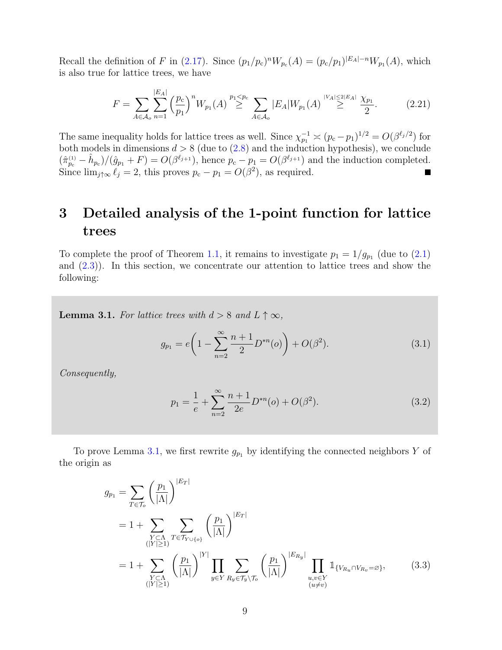Recall the definition of F in [\(2.17\)](#page-7-2). Since  $(p_1/p_c)^n W_{p_c}(A) = (p_c/p_1)^{|E_A|-n} W_{p_1}(A)$ , which is also true for lattice trees, we have

$$
F = \sum_{A \in \mathcal{A}_o} \sum_{n=1}^{|E_A|} \left(\frac{p_c}{p_1}\right)^n W_{p_1}(A) \stackrel{p_1 < p_c}{\geq} \sum_{A \in \mathcal{A}_o} |E_A| W_{p_1}(A) \stackrel{|V_A| \leq 2|E_A|}{\geq} \frac{\chi_{p_1}}{2}.\tag{2.21}
$$

The same inequality holds for lattice trees as well. Since  $\chi_{p_1}^{-1} \approx (p_c - p_1)^{1/2} = O(\beta^{\ell_j/2})$  for both models in dimensions  $d > 8$  (due to  $(2.8)$  and the induction hypothesis), we conclude  $(\hat{\pi}_{p_c}^{(1)} - \hat{h}_{p_c})/(\hat{g}_{p_1} + F) = O(\beta^{\ell_{j+1}})$ , hence  $p_c - p_1 = O(\beta^{\ell_{j+1}})$  and the induction completed. Since  $\lim_{j \uparrow \infty} \ell_j = 2$ , this proves  $p_c - p_1 = O(\beta^2)$ , as required.

## <span id="page-8-0"></span>3 Detailed analysis of the 1-point function for lattice trees

To complete the proof of Theorem [1.1,](#page-3-1) it remains to investigate  $p_1 = 1/g_{p_1}$  (due to  $(2.1)$ ) and  $(2.3)$ ). In this section, we concentrate our attention to lattice trees and show the following:

<span id="page-8-1"></span>**Lemma 3.1.** For lattice trees with  $d > 8$  and  $L \uparrow \infty$ ,

$$
g_{p_1} = e \left( 1 - \sum_{n=2}^{\infty} \frac{n+1}{2} D^{*n}(o) \right) + O(\beta^2). \tag{3.1}
$$

Consequently,

<span id="page-8-2"></span>
$$
p_1 = \frac{1}{e} + \sum_{n=2}^{\infty} \frac{n+1}{2e} D^{*n}(o) + O(\beta^2).
$$
 (3.2)

To prove Lemma [3.1,](#page-8-1) we first rewrite  $g_{p_1}$  by identifying the connected neighbors Y of the origin as

$$
g_{p_1} = \sum_{T \in \mathcal{T}_o} \left(\frac{p_1}{|\Lambda|}\right)^{|E_T|}
$$
  
= 1 + 
$$
\sum_{\substack{Y \subset \Lambda \\ (|Y| \ge 1)}} \sum_{T \in \mathcal{T}_{Y \cup \{o\}}} \left(\frac{p_1}{|\Lambda|}\right)^{|E_T|}
$$
  
= 1 + 
$$
\sum_{\substack{Y \subset \Lambda \\ (|Y| \ge 1)}} \left(\frac{p_1}{|\Lambda|}\right)^{|Y|} \prod_{y \in Y} \sum_{R_y \in \mathcal{T}_y \setminus \mathcal{T}_o} \left(\frac{p_1}{|\Lambda|}\right)^{|E_{R_y}|} \prod_{\substack{u,v \in Y \\ u,v \in Y \\ (u \ne v)}} \mathbb{1}_{\{V_{R_u} \cap V_{R_v} = \varnothing\}},
$$
(3.3)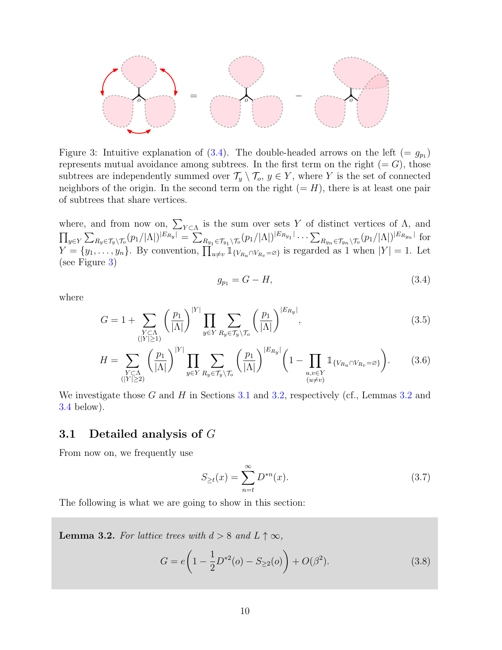

<span id="page-9-2"></span>Figure 3: Intuitive explanation of  $(3.4)$ . The double-headed arrows on the left  $(= g_{p_1})$ represents mutual avoidance among subtrees. In the first term on the right  $(= G)$ , those subtrees are independently summed over  $\mathcal{T}_y \setminus \mathcal{T}_o, y \in Y$ , where Y is the set of connected neighbors of the origin. In the second term on the right  $(= H)$ , there is at least one pair of subtrees that share vertices.

where, and from now on,  $\sum_{Y \subset \Lambda}$  is the sum over sets Y of distinct vertices of  $\Lambda$ , and  $\prod_{y\in Y}\sum_{R_y\in \mathcal{T}_y\backslash\mathcal{T}_o}(p_1/|\Lambda|)^{|E_{R_y}|}=\sum_{R_{y_1}\in \mathcal{T}_{y_1}\backslash\mathcal{T}_o}(p_1/|\Lambda|)^{|E_{R_{y_1}}|}\cdots\sum_{R_{y_n}\in \mathcal{T}_{y_n}\backslash\mathcal{T}_o}(p_1/|\Lambda|)^{|E_{R_{y_n}}|}$  for  $Y = \{y_1, \ldots, y_n\}$ . By convention,  $\prod_{u \neq v}^{n} \mathbb{1}_{\{V_{R_u} \cap V_{R_v} = \varnothing\}}$  is regarded as 1 when  $|Y| = 1$ . Let (see Figure [3\)](#page-9-2)

where

$$
\sqrt{|V|}
$$

<span id="page-9-4"></span><span id="page-9-1"></span> $g_{p_1} = G - H,$  (3.4)

$$
G = 1 + \sum_{\substack{Y \subset \Lambda \\ (|Y| \ge 1)}} \left(\frac{p_1}{|\Lambda|}\right)^{|Y|} \prod_{y \in Y} \sum_{R_y \in \mathcal{T}_y \setminus \mathcal{T}_o} \left(\frac{p_1}{|\Lambda|}\right)^{|E_{R_y}|},\tag{3.5}
$$

$$
H = \sum_{\substack{Y \subset \Lambda \\ (|Y| \ge 2)}} \left(\frac{p_1}{|\Lambda|}\right)^{|Y|} \prod_{y \in Y} \sum_{R_y \in \mathcal{T}_y \setminus \mathcal{T}_o} \left(\frac{p_1}{|\Lambda|}\right)^{|E_{R_y}|} \left(1 - \prod_{\substack{u,v \in Y \\ (u \ne v)}} \mathbb{1}_{\{V_{R_u} \cap V_{R_v} = \varnothing\}}\right). \tag{3.6}
$$

We investigate those G and H in Sections [3.1](#page-9-0) and [3.2,](#page-13-0) respectively (cf., Lemmas [3.2](#page-9-3) and [3.4](#page-13-1) below).

#### <span id="page-9-0"></span>3.1 Detailed analysis of G

From now on, we frequently use

$$
S_{\geq t}(x) = \sum_{n=t}^{\infty} D^{*n}(x).
$$
 (3.7)

The following is what we are going to show in this section:

<span id="page-9-3"></span>**Lemma 3.2.** For lattice trees with  $d > 8$  and  $L \uparrow \infty$ ,

$$
G = e\left(1 - \frac{1}{2}D^{*2}(o) - S_{\geq 2}(o)\right) + O(\beta^2). \tag{3.8}
$$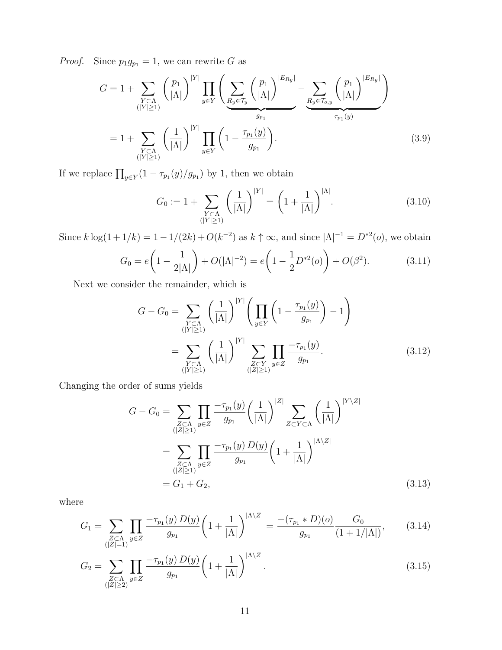*Proof.* Since  $p_1g_{p_1} = 1$ , we can rewrite G as

$$
G = 1 + \sum_{\substack{Y \subset \Lambda \\ (|Y| \ge 1)}} \left(\frac{p_1}{|\Lambda|}\right)^{|Y|} \prod_{y \in Y} \left(\sum_{\substack{R_y \in \mathcal{T}_y \\ g_{p_1}}} \left(\frac{p_1}{|\Lambda|}\right)^{|E_{R_y}|} - \sum_{\substack{R_y \in \mathcal{T}_{o,y} \\ g_{p_1}}} \left(\frac{p_1}{|\Lambda|}\right)^{|E_{R_y}|}\right)
$$
  
= 1 + 
$$
\sum_{\substack{Y \subset \Lambda \\ (|Y| \ge 1)}} \left(\frac{1}{|\Lambda|}\right)^{|Y|} \prod_{y \in Y} \left(1 - \frac{\tau_{p_1}(y)}{g_{p_1}}\right).
$$
 (3.9)

If we replace  $\prod_{y \in Y} (1 - \tau_{p_1}(y)/g_{p_1})$  by 1, then we obtain

<span id="page-10-1"></span>
$$
G_0 := 1 + \sum_{\substack{Y \subset \Lambda \\ (|Y| \ge 1)}} \left(\frac{1}{|\Lambda|}\right)^{|Y|} = \left(1 + \frac{1}{|\Lambda|}\right)^{|\Lambda|}.
$$
 (3.10)

Since  $k \log(1 + 1/k) = 1 - 1/(2k) + O(k^{-2})$  as  $k \uparrow \infty$ , and since  $|\Lambda|^{-1} = D^{*2}(0)$ , we obtain

$$
G_0 = e\left(1 - \frac{1}{2|\Lambda|}\right) + O(|\Lambda|^{-2}) = e\left(1 - \frac{1}{2}D^{*2}(o)\right) + O(\beta^2). \tag{3.11}
$$

Next we consider the remainder, which is

$$
G - G_0 = \sum_{\substack{Y \subset \Lambda \\ (|Y| \ge 1)}} \left(\frac{1}{|\Lambda|}\right)^{|Y|} \left(\prod_{y \in Y} \left(1 - \frac{\tau_{p_1}(y)}{g_{p_1}}\right) - 1\right)
$$
  
= 
$$
\sum_{\substack{Y \subset \Lambda \\ (|Y| \ge 1)}} \left(\frac{1}{|\Lambda|}\right)^{|Y|} \sum_{\substack{Z \subset Y \\ (|Z| \ge 1)}} \prod_{y \in Z} \frac{-\tau_{p_1}(y)}{g_{p_1}}.
$$
 (3.12)

Changing the order of sums yields

<span id="page-10-3"></span><span id="page-10-2"></span><span id="page-10-0"></span>
$$
G - G_0 = \sum_{\substack{Z \subset \Lambda \\ (|Z| \ge 1)}} \prod_{y \in Z} \frac{-\tau_{p_1}(y)}{g_{p_1}} \left(\frac{1}{|\Lambda|}\right)^{|Z|} \sum_{Z \subset Y \subset \Lambda} \left(\frac{1}{|\Lambda|}\right)^{|Y \setminus Z|}
$$
  
= 
$$
\sum_{\substack{Z \subset \Lambda \\ (|Z| \ge 1)}} \prod_{y \in Z} \frac{-\tau_{p_1}(y) D(y)}{g_{p_1}} \left(1 + \frac{1}{|\Lambda|}\right)^{|\Lambda \setminus Z|}
$$
  
= 
$$
G_1 + G_2,
$$
 (3.13)

where

$$
G_1 = \sum_{\substack{Z \subset \Lambda \\ (|Z|=1)}} \prod_{y \in Z} \frac{-\tau_{p_1}(y) D(y)}{g_{p_1}} \left(1 + \frac{1}{|\Lambda|}\right)^{|\Lambda \setminus Z|} = \frac{-(\tau_{p_1} * D)(o)}{g_{p_1}} \frac{G_0}{(1 + 1/|\Lambda|)},\tag{3.14}
$$

$$
G_2 = \sum_{\substack{Z \subset \Lambda \\ (|Z| \ge 2)}} \prod_{y \in Z} \frac{-\tau_{p_1}(y) D(y)}{g_{p_1}} \left(1 + \frac{1}{|\Lambda|}\right)^{|\Lambda \setminus Z|}.
$$
 (3.15)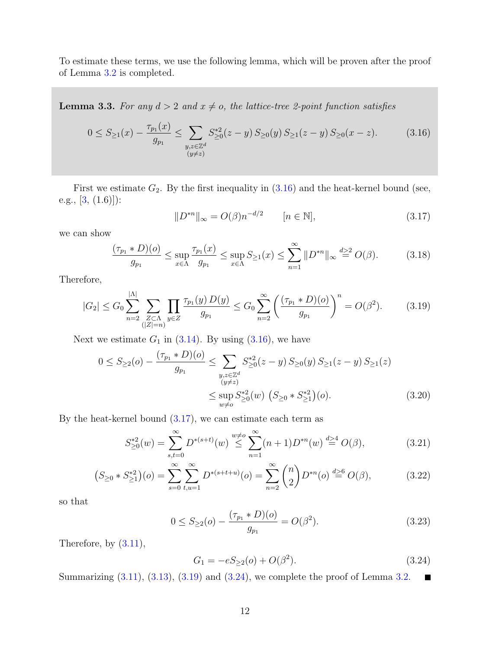To estimate these terms, we use the following lemma, which will be proven after the proof of Lemma [3.2](#page-9-3) is completed.

<span id="page-11-0"></span>**Lemma 3.3.** For any  $d > 2$  and  $x \neq o$ , the lattice-tree 2-point function satisfies

$$
0 \le S_{\ge 1}(x) - \frac{\tau_{p_1}(x)}{g_{p_1}} \le \sum_{\substack{y,z \in \mathbb{Z}^d \\ (y \ne z)}} S_{\ge 0}^{*2}(z - y) S_{\ge 0}(y) S_{\ge 1}(z - y) S_{\ge 0}(x - z).
$$
 (3.16)

First we estimate  $G_2$ . By the first inequality in  $(3.16)$  and the heat-kernel bound (see, e.g.,  $[3, (1.6)]$ :

<span id="page-11-3"></span><span id="page-11-2"></span><span id="page-11-1"></span>
$$
||D^{*n}||_{\infty} = O(\beta)n^{-d/2} \qquad [n \in \mathbb{N}],
$$
\n(3.17)

we can show

$$
\frac{(\tau_{p_1} * D)(o)}{g_{p_1}} \le \sup_{x \in \Lambda} \frac{\tau_{p_1}(x)}{g_{p_1}} \le \sup_{x \in \Lambda} S_{\ge 1}(x) \le \sum_{n=1}^{\infty} ||D^{*n}||_{\infty} \stackrel{d \ge 2}{=} O(\beta). \tag{3.18}
$$

Therefore,

$$
|G_2| \le G_0 \sum_{n=2}^{|A|} \sum_{\substack{Z \subset \Lambda \\ (|Z|=n)}} \prod_{y \in Z} \frac{\tau_{p_1}(y) D(y)}{g_{p_1}} \le G_0 \sum_{n=2}^{\infty} \left( \frac{(\tau_{p_1} * D)(o)}{g_{p_1}} \right)^n = O(\beta^2). \tag{3.19}
$$

Next we estimate  $G_1$  in [\(3.14\)](#page-10-0). By using [\(3.16\)](#page-11-1), we have

$$
0 \le S_{\ge 2}(o) - \frac{(\tau_{p_1} * D)(o)}{g_{p_1}} \le \sum_{\substack{y,z \in \mathbb{Z}^d \\ (y \ne z) \\ w \ne o}} S_{\ge 0}^{*2}(z - y) S_{\ge 0}(y) S_{\ge 1}(z - y) S_{\ge 1}(z)
$$
  

$$
\le \sup_{w \ne o} S_{\ge 0}^{*2}(w) \left( S_{\ge 0} * S_{\ge 1}^{*2} \right)(o).
$$
 (3.20)

By the heat-kernel bound  $(3.17)$ , we can estimate each term as

$$
S_{\geq 0}^{*2}(w) = \sum_{s,t=0}^{\infty} D^{*(s+t)}(w) \stackrel{w \neq o}{\leq} \sum_{n=1}^{\infty} (n+1) D^{*n}(w) \stackrel{d>4}{=} O(\beta), \tag{3.21}
$$

$$
\left(S_{\geq 0} \ast S_{\geq 1}^{*2}\right)(o) = \sum_{s=0}^{\infty} \sum_{t,u=1}^{\infty} D^{\ast (s+t+u)}(o) = \sum_{n=2}^{\infty} {n \choose 2} D^{\ast n}(o) \stackrel{d \geq 6}{=} O(\beta),\tag{3.22}
$$

so that

$$
0 \le S_{\ge 2}(o) - \frac{(\tau_{p_1} * D)(o)}{g_{p_1}} = O(\beta^2). \tag{3.23}
$$

Therefore, by  $(3.11)$ ,

<span id="page-11-6"></span><span id="page-11-5"></span><span id="page-11-4"></span>
$$
G_1 = -eS_{\geq 2}(o) + O(\beta^2). \tag{3.24}
$$

Summarizing  $(3.11)$ ,  $(3.13)$ ,  $(3.19)$  and  $(3.24)$ , we complete the proof of Lemma [3.2.](#page-9-3) П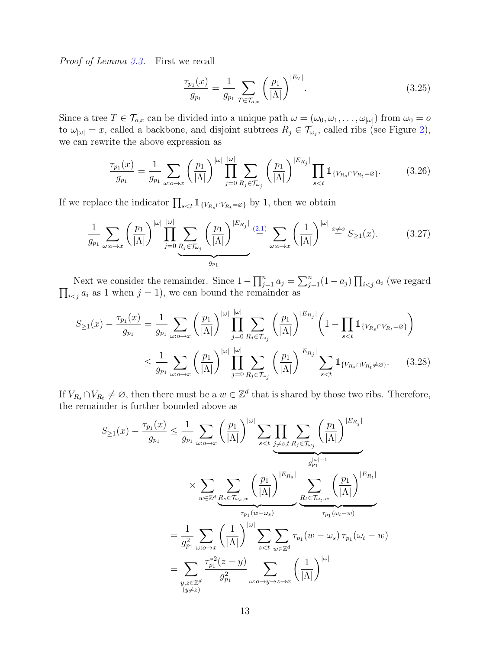Proof of Lemma [3.3.](#page-11-0) First we recall

<span id="page-12-1"></span><span id="page-12-0"></span>
$$
\frac{\tau_{p_1}(x)}{g_{p_1}} = \frac{1}{g_{p_1}} \sum_{T \in \mathcal{T}_{o,x}} \left(\frac{p_1}{|\Lambda|}\right)^{|E_T|}.
$$
\n(3.25)

Since a tree  $T \in \mathcal{T}_{o,x}$  can be divided into a unique path  $\omega = (\omega_0, \omega_1, \dots, \omega_{|\omega|})$  from  $\omega_0 = o$ to  $\omega_{|\omega|} = x$ , called a backbone, and disjoint subtrees  $R_j \in \mathcal{T}_{\omega_j}$ , called ribs (see Figure [2\)](#page-2-0), we can rewrite the above expression as

$$
\frac{\tau_{p_1}(x)}{g_{p_1}} = \frac{1}{g_{p_1}} \sum_{\omega: o \to x} \left(\frac{p_1}{|\Lambda|}\right)^{|\omega|} \prod_{j=0}^{|\omega|} \sum_{R_j \in \mathcal{T}_{\omega_j}} \left(\frac{p_1}{|\Lambda|}\right)^{|E_{R_j}|} \prod_{s < t} \mathbb{1}_{\{V_{R_s} \cap V_{R_t} = \varnothing\}}.\tag{3.26}
$$

If we replace the indicator  $\prod_{s \leq t} \mathbb{1}_{\{V_{R_s} \cap V_{R_t} = \varnothing\}}$  by 1, then we obtain

$$
\frac{1}{g_{p_1}} \sum_{\omega: o \to x} \left(\frac{p_1}{|\Lambda|}\right)^{|\omega|} \prod_{j=0}^{|\omega|} \underbrace{\sum_{R_j \in \mathcal{T}_{\omega_j}} \left(\frac{p_1}{|\Lambda|}\right)^{|E_{R_j}|}}_{g_{p_1}} \stackrel{(2.1)}{=} \sum_{\omega: o \to x} \left(\frac{1}{|\Lambda|}\right)^{|\omega|} \stackrel{x \neq o}{=} S_{\geq 1}(x). \tag{3.27}
$$

Next we consider the remainder. Since  $1 - \prod_{j=1}^{n} a_j = \sum_{j=1}^{n} (1 - a_j) \prod_{i < j}$ <br> $\prod_{i < j} a_i$  as 1 when  $j = 1$ ), we can bound the remainder as  $a_i$  (we regard  $i \lt j$  as 1 when  $j = 1$ , we can bound the remainder as

$$
S_{\geq 1}(x) - \frac{\tau_{p_1}(x)}{g_{p_1}} = \frac{1}{g_{p_1}} \sum_{\omega:\omega \to x} \left(\frac{p_1}{|\Lambda|}\right)^{|\omega|} \prod_{j=0}^{|\omega|} \sum_{R_j \in \mathcal{T}_{\omega_j}} \left(\frac{p_1}{|\Lambda|}\right)^{|E_{R_j}|} \left(1 - \prod_{s < t} \mathbb{1}_{\{V_{R_s} \cap V_{R_t} = \varnothing\}}\right)
$$

$$
\leq \frac{1}{g_{p_1}} \sum_{\omega:\omega \to x} \left(\frac{p_1}{|\Lambda|}\right)^{|\omega|} \prod_{j=0}^{|\omega|} \sum_{R_j \in \mathcal{T}_{\omega_j}} \left(\frac{p_1}{|\Lambda|}\right)^{|E_{R_j}|} \sum_{s < t} \mathbb{1}_{\{V_{R_s} \cap V_{R_t} \neq \varnothing\}}.\tag{3.28}
$$

If  $V_{R_s} \cap V_{R_t} \neq \emptyset$ , then there must be a  $w \in \mathbb{Z}^d$  that is shared by those two ribs. Therefore, the remainder is further bounded above as

$$
S_{\geq 1}(x) - \frac{\tau_{p_1}(x)}{g_{p_1}} \leq \frac{1}{g_{p_1}} \sum_{\omega:\omega \to x} \left(\frac{p_1}{|\Lambda|}\right)^{|\omega|} \sum_{s < t} \prod_{j \neq s, t} \sum_{R_j \in \mathcal{T}_{\omega_j}} \left(\frac{p_1}{|\Lambda|}\right)^{|E_{R_j}|}
$$
  

$$
\times \sum_{w \in \mathbb{Z}^d} \underbrace{\sum_{R_s \in \mathcal{T}_{\omega_s,w}} \left(\frac{p_1}{|\Lambda|}\right)^{|E_{R_s}|}}_{\tau_{p_1}(w - \omega_s)} \underbrace{\sum_{R_t \in \mathcal{T}_{\omega_t,w}} \left(\frac{p_1}{|\Lambda|}\right)^{|E_{R_t}|}}_{\tau_{p_1}(w - w)}
$$
  

$$
= \frac{1}{g_{p_1}^2} \sum_{\omega:\omega \to x} \left(\frac{1}{|\Lambda|}\right)^{|\omega|} \sum_{s < t} \sum_{w \in \mathbb{Z}^d} \tau_{p_1}(w - \omega_s) \tau_{p_1}(\omega_t - w)
$$
  

$$
= \sum_{\substack{y,z \in \mathbb{Z}^d}} \frac{\tau_{p_1}^{*2}(z - y)}{g_{p_1}^2} \sum_{\omega:\omega \to y \to z \to x} \left(\frac{1}{|\Lambda|}\right)^{|\omega|}
$$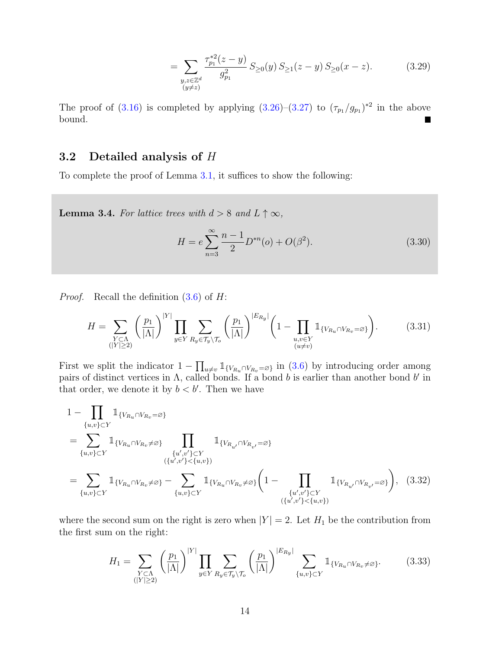$$
= \sum_{\substack{y,z \in \mathbb{Z}^d \\ (y \neq z)}} \frac{\tau_{p_1}^{*2}(z-y)}{g_{p_1}^2} \, S_{\geq 0}(y) \, S_{\geq 1}(z-y) \, S_{\geq 0}(x-z). \tag{3.29}
$$

The proof of [\(3.16\)](#page-11-1) is completed by applying  $(3.26)-(3.27)$  $(3.26)-(3.27)$  to  $(\tau_{p_1}/g_{p_1})^{*2}$  in the above bound. Г

#### <span id="page-13-0"></span>3.2 Detailed analysis of  $H$

To complete the proof of Lemma [3.1,](#page-8-1) it suffices to show the following:

<span id="page-13-1"></span>**Lemma 3.4.** For lattice trees with  $d > 8$  and  $L \uparrow \infty$ ,

<span id="page-13-2"></span>
$$
H = e \sum_{n=3}^{\infty} \frac{n-1}{2} D^{*n}(o) + O(\beta^2).
$$
 (3.30)

*Proof.* Recall the definition  $(3.6)$  of H:

$$
H = \sum_{\substack{Y \subset \Lambda \\ (|Y| \ge 2)}} \left(\frac{p_1}{|\Lambda|}\right)^{|Y|} \prod_{y \in Y} \sum_{R_y \in \mathcal{T}_y \setminus \mathcal{T}_o} \left(\frac{p_1}{|\Lambda|}\right)^{|E_{R_y}|} \left(1 - \prod_{\substack{u,v \in Y \\ (u \ne v)}} \mathbb{1}_{\{V_{R_u} \cap V_{R_v} = \varnothing\}}\right). \tag{3.31}
$$

First we split the indicator  $1 - \prod_{u \neq v} \mathbb{1}_{\{V_{R_u} \cap V_{R_v} = \varnothing\}}$  in [\(3.6\)](#page-9-4) by introducing order among pairs of distinct vertices in  $\Lambda$ , called bonds. If a bond b is earlier than another bond b' in that order, we denote it by  $b < b'$ . Then we have

$$
1 - \prod_{\{u,v\} \subset Y} \mathbb{1}_{\{V_{R_u} \cap V_{R_v} = \varnothing\}} = \sum_{\{u,v\} \subset Y} \mathbb{1}_{\{V_{R_u} \cap V_{R_v} \neq \varnothing\}} \prod_{\{u',v'\} \subset Y} \mathbb{1}_{\{V_{R_{u'}} \cap V_{R_{v'}} = \varnothing\}} = \sum_{\{u,v\} \subset Y} \mathbb{1}_{\{V_{R_u} \cap V_{R_v} \neq \varnothing\}} - \sum_{\{u,v\} \subset Y} \mathbb{1}_{\{V_{R_u} \cap V_{R_v} \neq \varnothing\}} \left(1 - \prod_{\{u',v'\} \subset Y} \mathbb{1}_{\{V_{R_{u'}} \cap V_{R_{v'}} = \varnothing\}}\right),
$$
(3.32)

where the second sum on the right is zero when  $|Y| = 2$ . Let  $H_1$  be the contribution from the first sum on the right:

<span id="page-13-3"></span>
$$
H_1 = \sum_{\substack{Y \subset \Lambda \\ (|Y| \ge 2)}} \left(\frac{p_1}{|\Lambda|}\right)^{|Y|} \prod_{y \in Y} \sum_{R_y \in \mathcal{T}_y \setminus \mathcal{T}_o} \left(\frac{p_1}{|\Lambda|}\right)^{|E_{R_y}|} \sum_{\{u,v\} \subset Y} \mathbb{1}_{\{V_{R_u} \cap V_{R_v} \ne \varnothing\}}.
$$
 (3.33)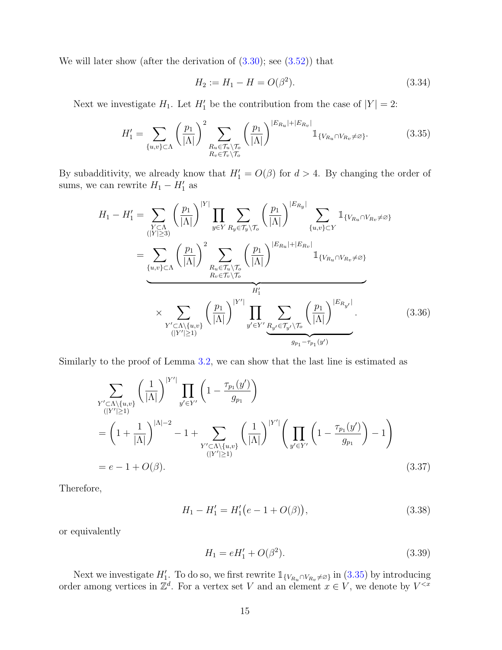We will later show (after the derivation of  $(3.30)$ ; see  $(3.52)$ ) that

<span id="page-14-1"></span><span id="page-14-0"></span>
$$
H_2 := H_1 - H = O(\beta^2). \tag{3.34}
$$

Next we investigate  $H_1$ . Let  $H'_1$  be the contribution from the case of  $|Y| = 2$ :

$$
H_1' = \sum_{\{u,v\} \subset \Lambda} \left(\frac{p_1}{|\Lambda|}\right)^2 \sum_{\substack{R_u \in \mathcal{T}_u \setminus \mathcal{T}_o \\ R_v \in \mathcal{T}_v \setminus \mathcal{T}_o}} \left(\frac{p_1}{|\Lambda|}\right)^{|E_{R_u}| + |E_{R_v}|} \mathbb{1}_{\{V_{R_u} \cap V_{R_v} \neq \varnothing\}}.
$$
(3.35)

By subadditivity, we already know that  $H_1' = O(\beta)$  for  $d > 4$ . By changing the order of sums, we can rewrite  $H_1 - H_1'$  as

$$
H_{1} - H'_{1} = \sum_{\substack{Y \subset \Lambda \\ (|Y| \ge 3)}} \left(\frac{p_{1}}{|\Lambda|}\right)^{|Y|} \prod_{y \in Y} \sum_{R_{y} \in \mathcal{T}_{y} \setminus \mathcal{T}_{o}} \left(\frac{p_{1}}{|\Lambda|}\right)^{|E_{R_{y}}|} \sum_{\{u,v\} \subset Y} \mathbb{1}_{\{V_{R_{u}} \cap V_{R_{v}} \neq \varnothing\}} = \sum_{\substack{\{u,v\} \subset \Lambda \\ (|Y| \ge 1)}} \left(\frac{p_{1}}{|\Lambda|}\right)^{2} \sum_{\substack{R_{u} \in \mathcal{T}_{u} \setminus \mathcal{T}_{o} \\ R_{v} \in \mathcal{T}_{v} \setminus \mathcal{T}_{o}}} \left(\frac{p_{1}}{|\Lambda|}\right)^{|E_{R_{u}}| + |E_{R_{v}}|} \mathbb{1}_{\{V_{R_{u}} \cap V_{R_{v}} \neq \varnothing\}} \times \sum_{\substack{Y' \subset \Lambda \setminus \{u,v\} \\ (|Y'| \ge 1)}} \left(\frac{p_{1}}{|\Lambda|}\right)^{|Y'|} \prod_{y' \in Y'} \sum_{\substack{R_{y'} \in \mathcal{T}_{y'} \setminus \mathcal{T}_{o}}} \left(\frac{p_{1}}{|\Lambda|}\right)^{|E_{R_{y'}}|}.
$$
\n(3.36)

Similarly to the proof of Lemma [3.2,](#page-9-3) we can show that the last line is estimated as

$$
\sum_{\substack{Y' \subset \Lambda \setminus \{u,v\} \\ (|Y'| \ge 1)}} \left( \frac{1}{|\Lambda|} \right)^{|Y'|} \prod_{y' \in Y'} \left( 1 - \frac{\tau_{p_1}(y')}{g_{p_1}} \right)
$$
\n
$$
= \left( 1 + \frac{1}{|\Lambda|} \right)^{|\Lambda| - 2} - 1 + \sum_{\substack{Y' \subset \Lambda \setminus \{u,v\} \\ (|Y'| \ge 1)}} \left( \frac{1}{|\Lambda|} \right)^{|Y'|} \left( \prod_{y' \in Y'} \left( 1 - \frac{\tau_{p_1}(y')}{g_{p_1}} \right) - 1 \right)
$$
\n
$$
= e - 1 + O(\beta).
$$
\n(3.37)

Therefore,

$$
H_1 - H_1' = H_1'(e - 1 + O(\beta)),
$$
\n(3.38)

or equivalently

<span id="page-14-2"></span>
$$
H_1 = eH'_1 + O(\beta^2). \tag{3.39}
$$

Next we investigate  $H'_1$ . To do so, we first rewrite  $\mathbb{1}_{\{V_{R_u} \cap V_{R_v} \neq \varnothing\}}$  in [\(3.35\)](#page-14-0) by introducing order among vertices in  $\mathbb{Z}^d$ . For a vertex set V and an element  $x \in V$ , we denote by  $V^{< x}$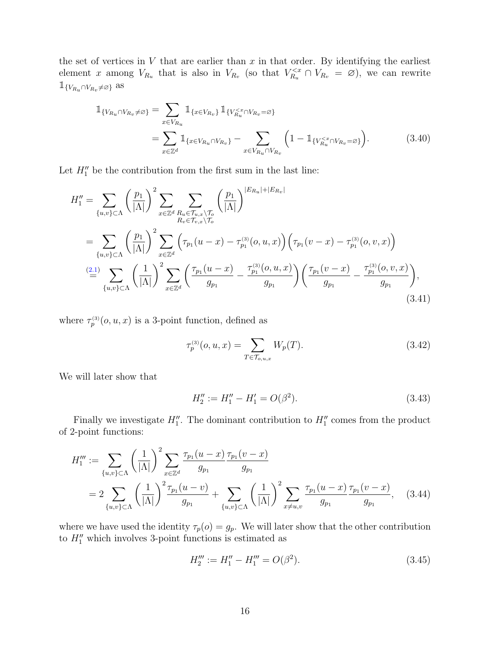the set of vertices in  $V$  that are earlier than  $x$  in that order. By identifying the earliest element x among  $V_{R_u}$  that is also in  $V_{R_v}$  (so that  $V_{R_u}^{< x} \cap V_{R_v} = \emptyset$ ), we can rewrite  $\mathbb{1}_{\{V_{Ru} \cap V_{R_v} \neq \varnothing\}}$  as

$$
\mathbb{1}_{\{V_{R_u} \cap V_{R_v} \neq \varnothing\}} = \sum_{x \in V_{R_u}} \mathbb{1}_{\{x \in V_{R_u} \cap V_{R_v}\}} \mathbb{1}_{\{V_{R_u}^{\leq x} \cap V_{R_v} = \varnothing\}}\n= \sum_{x \in \mathbb{Z}^d} \mathbb{1}_{\{x \in V_{R_u} \cap V_{R_v}\}} - \sum_{x \in V_{R_u} \cap V_{R_v}} \left(1 - \mathbb{1}_{\{V_{R_u}^{\leq x} \cap V_{R_v} = \varnothing\}}\right).
$$
\n(3.40)

Let  $H_1''$  be the contribution from the first sum in the last line:

$$
H''_1 = \sum_{\{u,v\} \subset \Lambda} \left(\frac{p_1}{|\Lambda|}\right)^2 \sum_{x \in \mathbb{Z}^d} \sum_{\substack{R_u \in \mathcal{T}_{u,x} \backslash \mathcal{T}_o \\ R_v \in \mathcal{T}_{v,x} \backslash \mathcal{T}_o}} \left(\frac{p_1}{|\Lambda|}\right)^{|E_{R_u}| + |E_{R_v}|}
$$
  
\n
$$
= \sum_{\{u,v\} \subset \Lambda} \left(\frac{p_1}{|\Lambda|}\right)^2 \sum_{x \in \mathbb{Z}^d} \left(\tau_{p_1}(u-x) - \tau_{p_1}^{(3)}(o, u, x)\right) \left(\tau_{p_1}(v-x) - \tau_{p_1}^{(3)}(o, v, x)\right)
$$
  
\n
$$
\stackrel{(2.1)}{=} \sum_{\{u,v\} \subset \Lambda} \left(\frac{1}{|\Lambda|}\right)^2 \sum_{x \in \mathbb{Z}^d} \left(\frac{\tau_{p_1}(u-x)}{g_{p_1}} - \frac{\tau_{p_1}^{(3)}(o, u, x)}{g_{p_1}}\right) \left(\frac{\tau_{p_1}(v-x)}{g_{p_1}} - \frac{\tau_{p_1}^{(3)}(o, v, x)}{g_{p_1}}\right),
$$
  
\n(3.41)

where  $\tau_p^{(3)}(o, u, x)$  is a 3-point function, defined as

<span id="page-15-4"></span><span id="page-15-3"></span>
$$
\tau_p^{(3)}(o, u, x) = \sum_{T \in \mathcal{T}_{o, u, x}} W_p(T). \tag{3.42}
$$

We will later show that

<span id="page-15-1"></span>
$$
H_2'' := H_1'' - H_1' = O(\beta^2). \tag{3.43}
$$

Finally we investigate  $H_1''$ . The dominant contribution to  $H_1''$  comes from the product of 2-point functions:

$$
H_1''' := \sum_{\{u,v\} \subset \Lambda} \left(\frac{1}{|\Lambda|}\right)^2 \sum_{x \in \mathbb{Z}^d} \frac{\tau_{p_1}(u-x)}{g_{p_1}} \frac{\tau_{p_1}(v-x)}{g_{p_1}} = 2 \sum_{\{u,v\} \subset \Lambda} \left(\frac{1}{|\Lambda|}\right)^2 \frac{\tau_{p_1}(u-v)}{g_{p_1}} + \sum_{\{u,v\} \subset \Lambda} \left(\frac{1}{|\Lambda|}\right)^2 \sum_{x \neq u,v} \frac{\tau_{p_1}(u-x)}{g_{p_1}} \frac{\tau_{p_1}(v-x)}{g_{p_1}}, \quad (3.44)
$$

where we have used the identity  $\tau_p(o) = g_p$ . We will later show that the other contribution to  $H''_1$  which involves 3-point functions is estimated as

<span id="page-15-2"></span><span id="page-15-0"></span>
$$
H_2''' := H_1'' - H_1''' = O(\beta^2). \tag{3.45}
$$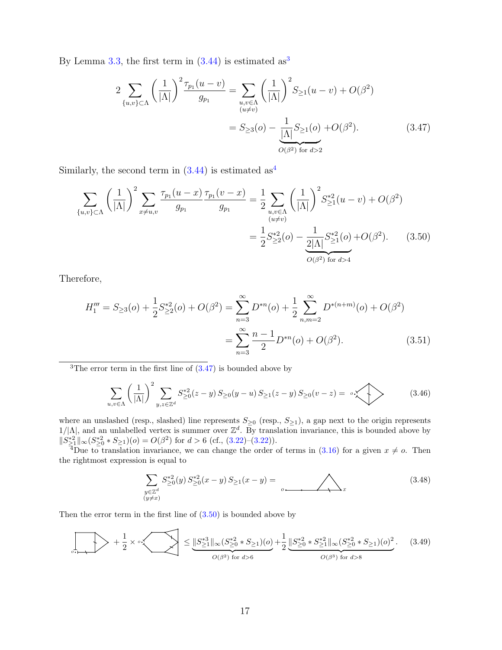By Lemma [3.3,](#page-11-0) the first term in  $(3.44)$  $(3.44)$  $(3.44)$  is estimated as<sup>3</sup>

<span id="page-16-3"></span><span id="page-16-2"></span>
$$
2 \sum_{\{u,v\} \subset \Lambda} \left(\frac{1}{|\Lambda|}\right)^2 \frac{\tau_{p_1}(u-v)}{g_{p_1}} = \sum_{\substack{u,v \in \Lambda \\ (u \neq v)}} \left(\frac{1}{|\Lambda|}\right)^2 S_{\geq 1}(u-v) + O(\beta^2)
$$

$$
= S_{\geq 3}(o) - \frac{1}{|\Lambda|} S_{\geq 1}(o) + O(\beta^2). \tag{3.47}
$$

Similarly, the second term in  $(3.44)$  $(3.44)$  $(3.44)$  is estimated as<sup>4</sup>

$$
\sum_{\{u,v\} \subset \Lambda} \left(\frac{1}{|\Lambda|}\right)^2 \sum_{x \neq u,v} \frac{\tau_{p_1}(u-x)}{g_{p_1}} \frac{\tau_{p_1}(v-x)}{g_{p_1}} = \frac{1}{2} \sum_{\substack{u,v \in \Lambda \\ (u \neq v)}} \left(\frac{1}{|\Lambda|}\right)^2 S_{\geq 1}^{*2}(u-v) + O(\beta^2)
$$

$$
= \frac{1}{2} S_{\geq 2}^{*2}(o) - \underbrace{\frac{1}{2|\Lambda|} S_{\geq 1}^{*2}(o)}_{O(\beta^2) \text{ for } d > 4} + O(\beta^2). \tag{3.50}
$$

Therefore,

$$
H_1''' = S_{\geq 3}(o) + \frac{1}{2} S_{\geq 2}^{*2}(o) + O(\beta^2) = \sum_{n=3}^{\infty} D^{*n}(o) + \frac{1}{2} \sum_{n,m=2}^{\infty} D^{*(n+m)}(o) + O(\beta^2)
$$
  
= 
$$
\sum_{n=3}^{\infty} \frac{n-1}{2} D^{*n}(o) + O(\beta^2).
$$
 (3.51)

<span id="page-16-0"></span><sup>3</sup>The error term in the first line of  $(3.47)$  is bounded above by

$$
\sum_{u,v \in \Lambda} \left(\frac{1}{|\Lambda|}\right)^2 \sum_{y,z \in \mathbb{Z}^d} S_{\geq 0}^{*2}(z-y) S_{\geq 0}(y-u) S_{\geq 1}(z-y) S_{\geq 0}(v-z) = \sum_{v \in \Lambda} \left(3.46\right)
$$

where an unslashed (resp., slashed) line represents  $S_{\geq 0}$  (resp.,  $S_{\geq 1}$ ), a gap next to the origin represents  $1/|\Lambda|$ , and an unlabelled vertex is summer over  $\mathbb{Z}^d$ . By translation invariance, this is bounded above by  $||S_{\geq 1}^{*2}||_{\infty} (S_{\geq 0}^{*2} * S_{\geq 1})(o) = O(\beta^2)$  for  $d > 6$  (cf., [\(3.22\)](#page-11-5)-(3.22)).

<span id="page-16-1"></span><sup>4</sup>Due to translation invariance, we can change the order of terms in [\(3.16\)](#page-11-1) for a given  $x \neq o$ . Then the rightmost expression is equal to

<span id="page-16-4"></span>
$$
\sum_{\substack{y \in \mathbb{Z}^d \\ (y \neq x)}} S_{\geq 0}^{*2}(y) S_{\geq 0}^{*2}(x - y) S_{\geq 1}(x - y) = \bigotimes_{g \text{ mod } x} (3.48)
$$

Then the error term in the first line of  $(3.50)$  is bounded above by

1 1 ∗3 ∗2 ∗2 ∗2 ∗2 2 + × ≤ kS <sup>≥</sup>1k∞(S <sup>≥</sup><sup>0</sup> ∗ S<sup>≥</sup>1)(o) + kS <sup>≥</sup><sup>0</sup> ∗ S <sup>≥</sup>1k∞(S <sup>≥</sup><sup>0</sup> ∗ S<sup>≥</sup>1)(o) . (3.49) o 2 2 o | {z } | {z } O(β2) for d>6 O(β3) for d>8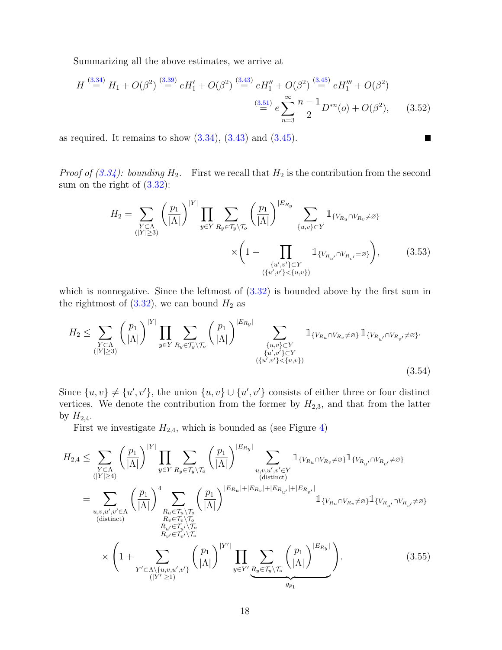Summarizing all the above estimates, we arrive at

$$
H \stackrel{(3.34)}{=} H_1 + O(\beta^2) \stackrel{(3.39)}{=} eH_1' + O(\beta^2) \stackrel{(3.43)}{=} eH_1'' + O(\beta^2) \stackrel{(3.45)}{=} eH_1''' + O(\beta^2)
$$
  

$$
\stackrel{(3.51)}{=} e \sum_{n=3}^{\infty} \frac{n-1}{2} D^{*n}(o) + O(\beta^2), \qquad (3.52)
$$

as required. It remains to show  $(3.34)$ ,  $(3.43)$  and  $(3.45)$ .

*Proof of [\(3.34\)](#page-14-1): bounding*  $H_2$ . First we recall that  $H_2$  is the contribution from the second sum on the right of [\(3.32\)](#page-13-3):

$$
H_2 = \sum_{\substack{Y \subset \Lambda \\ (|Y| \ge 3)}} \left(\frac{p_1}{|\Lambda|}\right)^{|Y|} \prod_{y \in Y} \sum_{R_y \in \mathcal{T}_y \setminus \mathcal{T}_o} \left(\frac{p_1}{|\Lambda|}\right)^{|E_{R_y}|} \sum_{\{u,v\} \subset Y} \mathbb{1}_{\{V_{R_u} \cap V_{R_v} \neq \varnothing\}} \times \left(1 - \prod_{\{u',v'\} \subset Y} \mathbb{1}_{\{V_{R_{u'}} \cap V_{R_{v'}} = \varnothing\}}\right),
$$
\n(3.53)

<span id="page-17-1"></span><span id="page-17-0"></span> $\blacksquare$ 

which is nonnegative. Since the leftmost of  $(3.32)$  is bounded above by the first sum in the rightmost of  $(3.32)$ , we can bound  $H_2$  as

$$
H_2 \leq \sum_{\substack{Y \subset \Lambda \\ (|Y| \geq 3)}} \left(\frac{p_1}{|\Lambda|}\right)^{|Y|} \prod_{y \in Y} \sum_{R_y \in \mathcal{T}_y \setminus \mathcal{T}_o} \left(\frac{p_1}{|\Lambda|}\right)^{|E_{R_y}|} \sum_{\substack{\{u,v\} \subset Y \\ \{u',v'\} \subset Y \\ (\{u',v'\} < \{u,v\})}} \mathbb{1}_{\{V_{R_u} \cap V_{R_v} \neq \emptyset\}} \mathbb{1}_{\{V_{R_{u'}} \cap V_{R_{v'}} \neq \emptyset\}}.
$$
\n
$$
(3.54)
$$

Since  $\{u, v\} \neq \{u', v'\}$ , the union  $\{u, v\} \cup \{u', v'\}$  consists of either three or four distinct vertices. We denote the contribution from the former by  $H_{2,3}$ , and that from the latter by  $H_{2,4}$ .

<span id="page-17-2"></span>First we investigate  $H_{2,4}$ , which is bounded as (see Figure [4\)](#page-18-0)

$$
H_{2,4} \leq \sum_{\substack{Y \subset \Lambda \\ (|Y| \geq 4)}} \left(\frac{p_1}{|\Lambda|}\right)^{|Y|} \prod_{y \in Y} \sum_{R_y \in \mathcal{T}_y \setminus \mathcal{T}_o} \left(\frac{p_1}{|\Lambda|}\right)^{|E_{R_y}|} \sum_{\substack{u,v,u',v' \in Y \\ (distinct)}} \mathbb{1}_{\{V_{R_u} \cap V_{R_v} \neq \varnothing\}} \mathbb{1}_{\{V_{R_{u'}} \cap V_{R_{v'}} \neq \varnothing\}} \n= \sum_{\substack{u,v,u',v' \in \Lambda \\ (distinct)}} \left(\frac{p_1}{|\Lambda|}\right)^4 \sum_{\substack{R_u \in \mathcal{T}_u \setminus \mathcal{T}_o \\ R_v \in \mathcal{T}_v \setminus \mathcal{T}_o \\ R_{u'} \in \mathcal{T}_{u'} \setminus \mathcal{T}_o}} \left(\frac{p_1}{|\Lambda|}\right)^{|E_{R_u}| + |E_{R_v}| + |E_{R_{u'}}| + |E_{R_{v'}}|} \mathbb{1}_{\{V_{R_u} \cap V_{R_v} \neq \varnothing\}} \mathbb{1}_{\{V_{R_{u'}} \cap V_{R_{v'}} \neq \varnothing\}} \n\times \left(1 + \sum_{\substack{Y' \subset \Lambda \setminus \{u,v,u',v'\} \\ (|Y'| \geq 1)}} \left(\frac{p_1}{|\Lambda|}\right)^{|Y'|} \prod_{y \in Y'} \sum_{\substack{R_y \in \mathcal{T}_y \setminus \mathcal{T}_o}} \left(\frac{p_1}{|\Lambda|}\right)^{|E_{R_y}|} \right).
$$
\n(3.55)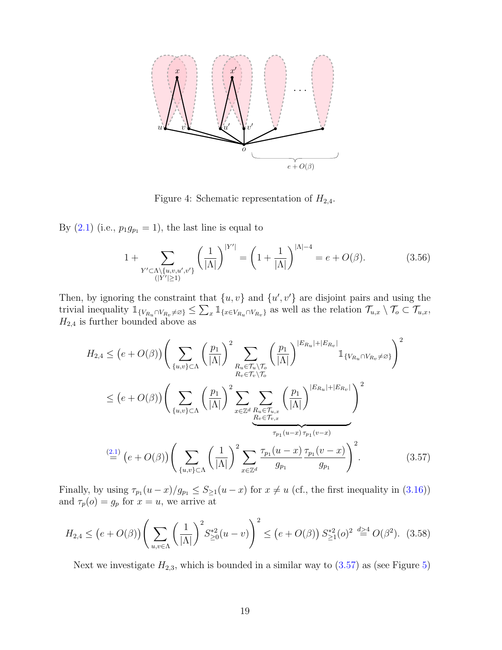

<span id="page-18-0"></span>Figure 4: Schematic representation of  $H_{2,4}$ .

By  $(2.1)$  (i.e.,  $p_1g_{p_1} = 1$ ), the last line is equal to

$$
1 + \sum_{Y' \subset \Lambda \setminus \{u, v, u', v'\}} \left(\frac{1}{|\Lambda|}\right)^{|Y'|} = \left(1 + \frac{1}{|\Lambda|}\right)^{|\Lambda| - 4} = e + O(\beta). \tag{3.56}
$$

Then, by ignoring the constraint that  $\{u, v\}$  and  $\{u', v'\}$  are disjoint pairs and using the trivial inequality  $\mathbb{1}_{\{V_{R_u} \cap V_{R_v} \neq \emptyset\}} \leq \sum_x \mathbb{1}_{\{x \in V_{R_u} \cap V_{R_v}\}}$  as well as the relation  $\mathcal{T}_{u,x} \setminus \mathcal{T}_o \subset \mathcal{T}_{u,x}$ ,  $H_{2,4}$  is further bounded above as

<span id="page-18-1"></span>
$$
H_{2,4} \leq (e+O(\beta)) \Bigg( \sum_{\{u,v\} \subset \Lambda} \left(\frac{p_1}{|\Lambda|}\right)^2 \sum_{\substack{R_u \in \mathcal{T}_u \backslash \mathcal{T}_o \\ R_v \in \mathcal{T}_v \backslash \mathcal{T}_o}} \left(\frac{p_1}{|\Lambda|}\right)^{|E_{R_u}| + |E_{R_v}|} \mathbb{1}_{\{V_{R_u} \cap V_{R_v} \neq \varnothing\}} \Bigg)^2
$$
  

$$
\leq (e+O(\beta)) \Bigg( \sum_{\{u,v\} \subset \Lambda} \left(\frac{p_1}{|\Lambda|}\right)^2 \sum_{x \in \mathbb{Z}^d} \sum_{\substack{R_u \in \mathcal{T}_u, x \\ R_v \in \mathcal{T}_v, x}} \left(\frac{p_1}{|\Lambda|}\right)^{|E_{R_u}| + |E_{R_v}|} \Bigg)^2
$$
  

$$
\xrightarrow[\tau_{p_1}(u-x) \tau_{p_1}(v-x)]
$$
  

$$
\stackrel{(2.1)}{=} (e+O(\beta)) \Bigg( \sum_{\{u,v\} \subset \Lambda} \left(\frac{1}{|\Lambda|}\right)^2 \sum_{x \in \mathbb{Z}^d} \frac{\tau_{p_1}(u-x) \tau_{p_1}(v-x)}{g_{p_1}} \frac{\tau_{p_1}(v-x)}{g_{p_1}} \Bigg)^2.
$$
 (3.57)

Finally, by using  $\tau_{p_1}(u-x)/g_{p_1} \leq S_{\geq 1}(u-x)$  for  $x \neq u$  (cf., the first inequality in [\(3.16\)](#page-11-1)) and  $\tau_p(o) = g_p$  for  $x = u$ , we arrive at

$$
H_{2,4} \le (e+O(\beta)) \left(\sum_{u,v \in \Lambda} \left(\frac{1}{|\Lambda|}\right)^2 S_{\geq 0}^{*2}(u-v)\right)^2 \le (e+O(\beta)) S_{\geq 1}^{*2}(\rho)^2 \stackrel{d>4}{=} O(\beta^2). \tag{3.58}
$$

Next we investigate  $H_{2,3}$ , which is bounded in a similar way to  $(3.57)$  as (see Figure [5\)](#page-19-0)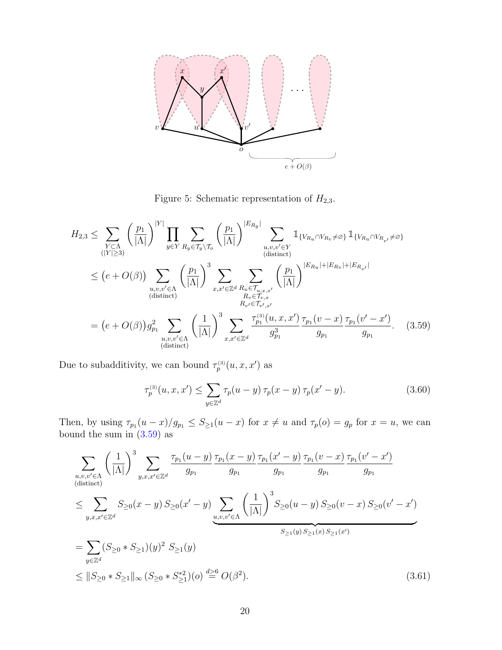

<span id="page-19-0"></span>Figure 5: Schematic representation of  $H_{2,3}$ .

$$
H_{2,3} \leq \sum_{\substack{Y \subset \Lambda \\ (|Y| \geq 3)}} \left(\frac{p_1}{|\Lambda|}\right)^{|Y|} \prod_{y \in Y} \sum_{R_y \in \mathcal{T}_y \setminus \mathcal{T}_o} \left(\frac{p_1}{|\Lambda|}\right)^{|E_{R_y}|} \sum_{\substack{u,v,v' \in Y \\ (distinct)}} \mathbbm{1}_{\{V_{R_u} \cap V_{R_v} \neq \varnothing\}} \mathbbm{1}_{\{V_{R_u} \cap V_{R_v} \neq \varnothing\}}
$$
  

$$
\leq (e+O(\beta)) \sum_{\substack{u,v,v' \in \Lambda \\ (distinct)}} \left(\frac{p_1}{|\Lambda|}\right)^3 \sum_{x,x' \in \mathbb{Z}^d} \sum_{\substack{R_u \in \mathcal{T}_{u,x,x'} \\ R_v \in \mathcal{T}_{v,x}}} \left(\frac{p_1}{|\Lambda|}\right)^{|E_{R_u}| + |E_{R_v}| + |E_{R_{v'}}|}
$$
  

$$
= (e+O(\beta)) g_{p_1}^2 \sum_{\substack{u,v,v' \in \Lambda \\ (distinct)}} \left(\frac{1}{|\Lambda|}\right)^3 \sum_{x,x' \in \mathbb{Z}^d} \frac{\tau_{p_1}^{(3)}(u,x,x')}{g_{p_1}^3} \frac{\tau_{p_1}(v-x)}{\tau_{p_1}(v-x)} \frac{\tau_{p_1}(v'-x')}{g_{p_1}}.
$$
 (3.59)

Due to subadditivity, we can bound  $\tau_p^{(3)}(u, x, x')$  as

<span id="page-19-3"></span><span id="page-19-2"></span><span id="page-19-1"></span>
$$
\tau_p^{(3)}(u, x, x') \le \sum_{y \in \mathbb{Z}^d} \tau_p(u - y) \, \tau_p(x - y) \, \tau_p(x' - y). \tag{3.60}
$$

Then, by using  $\tau_{p_1}(u-x)/g_{p_1} \leq S_{\geq 1}(u-x)$  for  $x \neq u$  and  $\tau_p(o) = g_p$  for  $x = u$ , we can bound the sum in  $(3.59)$  as

$$
\sum_{u,v,v'\in\Lambda} \left(\frac{1}{|\Lambda|}\right)^3 \sum_{y,x,x'\in\mathbb{Z}^d} \frac{\tau_{p_1}(u-y)}{g_{p_1}} \frac{\tau_{p_1}(x-y)}{g_{p_1}} \frac{\tau_{p_1}(x'-y)}{g_{p_1}} \frac{\tau_{p_1}(v-x)}{g_{p_1}} \frac{\tau_{p_1}(v-x')}{g_{p_1}}
$$
\n
$$
\leq \sum_{y,x,x'\in\mathbb{Z}^d} S_{\geq 0}(x-y) S_{\geq 0}(x'-y) \sum_{u,v,v'\in\Lambda} \left(\frac{1}{|\Lambda|}\right)^3 S_{\geq 0}(u-y) S_{\geq 0}(v-x) S_{\geq 0}(v'-x')
$$
\n
$$
= \sum_{y\in\mathbb{Z}^d} (S_{\geq 0} * S_{\geq 1})(y)^2 S_{\geq 1}(y)
$$
\n
$$
\leq ||S_{\geq 0} * S_{\geq 1}||_{\infty} (S_{\geq 0} * S_{\geq 1}^{*2})(o) \stackrel{d\geq 6}{=} O(\beta^2).
$$
\n(3.61)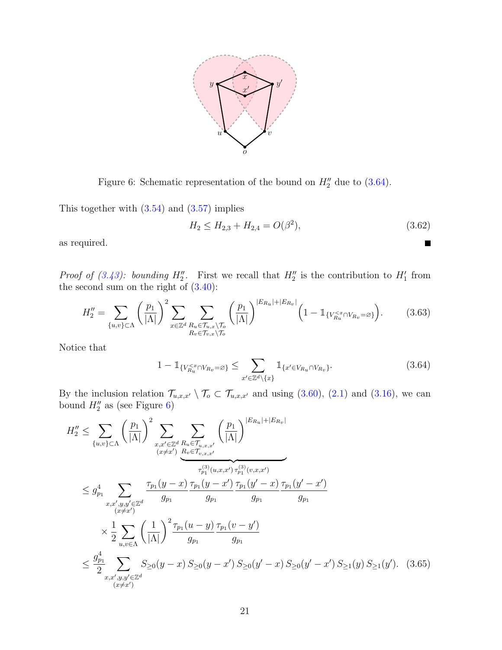

<span id="page-20-1"></span>Figure 6: Schematic representation of the bound on  $H_2''$  due to [\(3.64\)](#page-20-0).

This together with [\(3.54\)](#page-17-1) and [\(3.57\)](#page-18-1) implies

$$
H_2 \le H_{2,3} + H_{2,4} = O(\beta^2),\tag{3.62}
$$

<span id="page-20-0"></span> $\blacksquare$ 

as required.

*Proof of [\(3.43\)](#page-15-1): bounding*  $H_2''$ . First we recall that  $H_2''$  is the contribution to  $H_1'$  from the second sum on the right of  $(3.40)$ :

$$
H_2'' = \sum_{\{u,v\} \subset \Lambda} \left(\frac{p_1}{|\Lambda|}\right)^2 \sum_{x \in \mathbb{Z}^d} \sum_{\substack{R_u \in \mathcal{T}_{u,x} \setminus \mathcal{T}_o \\ R_v \in \mathcal{T}_{v,x} \setminus \mathcal{T}_o}} \left(\frac{p_1}{|\Lambda|}\right)^{|E_{R_u}| + |E_{R_v}|} \left(1 - \mathbb{1}_{\{V_{R_u}^{\leq x} \cap V_{R_v} = \varnothing\}}\right). \tag{3.63}
$$

Notice that

$$
1 - \mathbb{1}_{\{V_{R_u}^{< x} \cap V_{R_v} = \varnothing\}} \le \sum_{x' \in \mathbb{Z}^d \setminus \{x\}} \mathbb{1}_{\{x' \in V_{R_u} \cap V_{R_v}\}}.
$$
\n(3.64)

By the inclusion relation  $\mathcal{T}_{u,x,x'} \setminus \mathcal{T}_{o} \subset \mathcal{T}_{u,x,x'}$  and using [\(3.60\)](#page-19-2), [\(2.1\)](#page-4-1) and [\(3.16\)](#page-11-1), we can bound  $H_2''$  as (see Figure [6\)](#page-20-1)

$$
H_{2}'' \leq \sum_{\{u,v\} \subset \Lambda} \left(\frac{p_{1}}{|\Lambda|}\right)^{2} \sum_{\substack{x,x' \in \mathbb{Z}^{d} \\ (x \neq x')}} \sum_{\substack{R_{u} \in \mathcal{T}_{u,x,x'} \\ k \in \mathcal{T}_{v,x,x'}}} \left(\frac{p_{1}}{|\Lambda|}\right)^{|E_{R_{u}|} + |E_{R_{v}|}}\n\leq g_{p_{1}}^{4} \sum_{\substack{x,x',y,y' \in \mathbb{Z}^{d} \\ (x \neq x')}} \frac{\tau_{p_{1}}(y-x)}{g_{p_{1}}} \frac{\tau_{p_{1}}(y-x)}{\tau_{p_{1}}(y-x')} \frac{\tau_{p_{1}}(y'-x)}{\tau_{p_{1}}(y'-x)} \frac{\tau_{p_{1}}(y'-x')}{g_{p_{1}}} \n\leq \frac{1}{2} \sum_{u,v \in \Lambda} \left(\frac{1}{|\Lambda|}\right)^{2} \frac{\tau_{p_{1}}(u-y)}{g_{p_{1}}} \frac{\tau_{p_{1}}(v-y')}{g_{p_{1}}} \n\leq \frac{g_{p_{1}}^{4}}{2} \sum_{\substack{x,x',y,y' \in \mathbb{Z}^{d} \\ (x \neq x')}} S_{\geq 0}(y-x) S_{\geq 0}(y-x') S_{\geq 0}(y'-x) S_{\geq 0}(y'-x') S_{\geq 1}(y) S_{\geq 1}(y'). \quad (3.65)
$$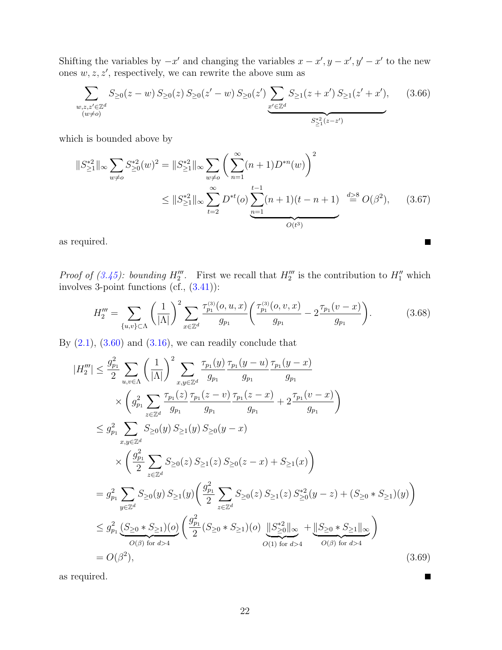Shifting the variables by  $-x'$  and changing the variables  $x - x', y - x', y' - x'$  to the new ones  $w, z, z'$ , respectively, we can rewrite the above sum as

$$
\sum_{\substack{w,z,z'\in\mathbb{Z}^d\\(w\neq o)}} S_{\geq 0}(z-w) S_{\geq 0}(z) S_{\geq 0}(z'-w) S_{\geq 0}(z') \sum_{\substack{x'\in\mathbb{Z}^d\\(z'\neq z'')\leq z'\\(z'\neq z'')\leq z'\\(z'\neq z'')}}
$$
(3.66)

which is bounded above by

$$
||S_{\geq 1}^{*2}||_{\infty} \sum_{w \neq o} S_{\geq 0}^{*2}(w)^{2} = ||S_{\geq 1}^{*2}||_{\infty} \sum_{w \neq o} \left( \sum_{n=1}^{\infty} (n+1)D^{*n}(w) \right)^{2}
$$
  

$$
\leq ||S_{\geq 1}^{*2}||_{\infty} \sum_{t=2}^{\infty} D^{*t}(o) \sum_{n=1}^{t-1} (n+1)(t-n+1) \stackrel{d \geq 8}{=} O(\beta^{2}), \quad (3.67)
$$

as required.

*Proof of [\(3.45\)](#page-15-2): bounding*  $H_2^{\prime\prime\prime}$ . First we recall that  $H_2^{\prime\prime\prime}$  is the contribution to  $H_1^{\prime\prime}$  which involves 3-point functions (cf., [\(3.41\)](#page-15-4)):

$$
H_2''' = \sum_{\{u,v\} \subset \Lambda} \left(\frac{1}{|\Lambda|}\right)^2 \sum_{x \in \mathbb{Z}^d} \frac{\tau_{p_1}^{(3)}(o, u, x)}{g_{p_1}} \left(\frac{\tau_{p_1}^{(3)}(o, v, x)}{g_{p_1}} - 2\frac{\tau_{p_1}(v - x)}{g_{p_1}}\right).
$$
(3.68)

 $\blacksquare$ 

 $\blacksquare$ 

By  $(2.1)$ ,  $(3.60)$  and  $(3.16)$ , we can readily conclude that

$$
|H_{2}'''| \leq \frac{g_{p_1}^2}{2} \sum_{u,v \in \Lambda} \left(\frac{1}{|\Lambda|}\right)^2 \sum_{x,y \in \mathbb{Z}^d} \frac{\tau_{p_1}(y)}{g_{p_1}} \frac{\tau_{p_1}(y-u)}{g_{p_1}} \frac{\tau_{p_1}(y-x)}{g_{p_1}} \times \left(g_{p_1}^2 \sum_{z \in \mathbb{Z}^d} \frac{\tau_{p_1}(z)}{g_{p_1}} \frac{\tau_{p_1}(z-v)}{g_{p_1}} \frac{\tau_{p_1}(z-x)}{g_{p_1}} + 2 \frac{\tau_{p_1}(v-x)}{g_{p_1}}\right) \leq g_{p_1}^2 \sum_{x,y \in \mathbb{Z}^d} S_{\geq 0}(y) S_{\geq 1}(y) S_{\geq 0}(y-x) \times \left(\frac{g_{p_1}^2}{2} \sum_{z \in \mathbb{Z}^d} S_{\geq 0}(z) S_{\geq 1}(z) S_{\geq 0}(z-x) + S_{\geq 1}(x)\right) = g_{p_1}^2 \sum_{y \in \mathbb{Z}^d} S_{\geq 0}(y) S_{\geq 1}(y) \left(\frac{g_{p_1}^2}{2} \sum_{z \in \mathbb{Z}^d} S_{\geq 0}(z) S_{\geq 1}(z) S_{\geq 0}^{*2}(y-z) + (S_{\geq 0} * S_{\geq 1})(y)\right) \leq g_{p_1}^2 \underbrace{(S_{\geq 0} * S_{\geq 1})(o)}_{O(\beta) \text{ for } d > 4} \left(\frac{g_{p_1}^2}{2} (S_{\geq 0} * S_{\geq 1})(o) \underbrace{\|S_{\geq 0}^{*2}\|_{\infty}}_{O(1) \text{ for } d > 4} + \underbrace{\|S_{\geq 0} * S_{\geq 1}\|_{\infty}}_{O(\beta) \text{ for } d > 4} \right)
$$
(3.69)

as required.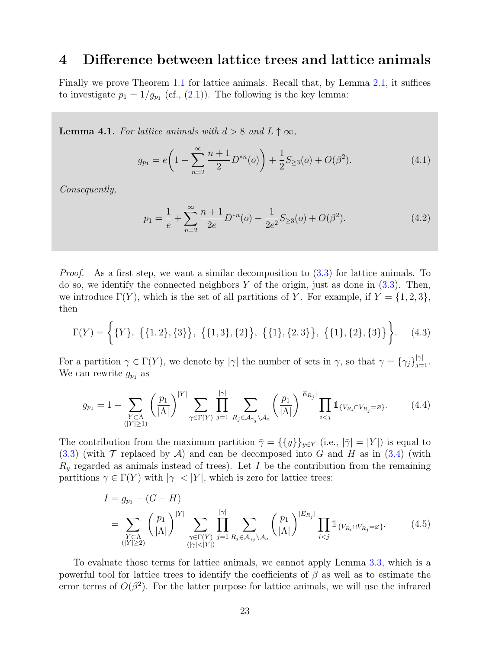### <span id="page-22-0"></span>4 Difference between lattice trees and lattice animals

Finally we prove Theorem [1.1](#page-3-1) for lattice animals. Recall that, by Lemma [2.1,](#page-4-2) it suffices to investigate  $p_1 = 1/g_{p_1}$  (cf., [\(2.1\)](#page-4-1)). The following is the key lemma:

<span id="page-22-1"></span>**Lemma 4.1.** For lattice animals with  $d > 8$  and  $L \uparrow \infty$ ,

$$
g_{p_1} = e\left(1 - \sum_{n=2}^{\infty} \frac{n+1}{2} D^{*n}(o)\right) + \frac{1}{2} S_{\geq 3}(o) + O(\beta^2). \tag{4.1}
$$

Consequently,

$$
p_1 = \frac{1}{e} + \sum_{n=2}^{\infty} \frac{n+1}{2e} D^{*n}(o) - \frac{1}{2e^2} S_{\geq 3}(o) + O(\beta^2). \tag{4.2}
$$

*Proof.* As a first step, we want a similar decomposition to  $(3.3)$  for lattice animals. To do so, we identify the connected neighbors  $Y$  of the origin, just as done in  $(3.3)$ . Then, we introduce  $\Gamma(Y)$ , which is the set of all partitions of Y. For example, if  $Y = \{1, 2, 3\}$ , then

$$
\Gamma(Y) = \left\{ \{Y\}, \ \{ \{1,2\}, \{3\} \}, \ \{ \{1,3\}, \{2\} \}, \ \{ \{1\}, \{2,3\} \}, \ \{ \{1\}, \{2\}, \{3\} \} \right\}. \tag{4.3}
$$

For a partition  $\gamma \in \Gamma(Y)$ , we denote by  $|\gamma|$  the number of sets in  $\gamma$ , so that  $\gamma = {\gamma_j}_{j=1}^{|\gamma|}$ . We can rewrite  $g_{p_1}$  as

$$
g_{p_1} = 1 + \sum_{\substack{Y \subset \Lambda \\ (|Y| \ge 1)}} \left(\frac{p_1}{|\Lambda|}\right)^{|Y|} \sum_{\gamma \in \Gamma(Y)} \prod_{j=1}^{|\gamma|} \sum_{R_j \in \mathcal{A}_{\gamma_j} \setminus \mathcal{A}_o} \left(\frac{p_1}{|\Lambda|}\right)^{|E_{R_j}|} \prod_{i < j} \mathbb{1}_{\{V_{R_i} \cap V_{R_j} = \varnothing\}}.\tag{4.4}
$$

The contribution from the maximum partition  $\bar{\gamma} = {\{y\}}_{y \in Y}$  (i.e.,  $|\bar{\gamma}| = |Y|$ ) is equal to  $(3.3)$  (with  $\mathcal T$  replaced by  $\mathcal A$ ) and can be decomposed into G and H as in  $(3.4)$  (with  $R<sub>y</sub>$  regarded as animals instead of trees). Let I be the contribution from the remaining partitions  $\gamma \in \Gamma(Y)$  with  $|\gamma| < |Y|$ , which is zero for lattice trees:

$$
I = g_{p_1} - (G - H)
$$
  
= 
$$
\sum_{\substack{Y \subset \Lambda \\ (|Y| \ge 2)}} \left(\frac{p_1}{|\Lambda|}\right)^{|Y|} \sum_{\substack{\gamma \in \Gamma(Y) \\ (\gamma | \prec |Y|)}} \prod_{j=1}^{|\gamma|} \sum_{R_j \in \mathcal{A}_{\gamma_j} \setminus \mathcal{A}_o} \left(\frac{p_1}{|\Lambda|}\right)^{|E_{R_j}|} \prod_{i < j} \mathbb{1}_{\{V_{R_i} \cap V_{R_j} = \varnothing\}}.
$$
 (4.5)

To evaluate those terms for lattice animals, we cannot apply Lemma [3.3,](#page-11-0) which is a powerful tool for lattice trees to identify the coefficients of  $\beta$  as well as to estimate the error terms of  $O(\beta^2)$ . For the latter purpose for lattice animals, we will use the infrared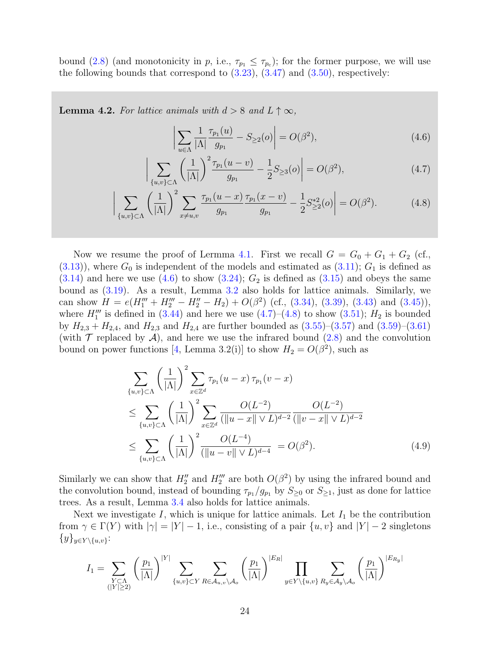bound [\(2.8\)](#page-5-1) (and monotonicity in p, i.e.,  $\tau_{p_1} \leq \tau_{p_c}$ ); for the former purpose, we will use the following bounds that correspond to  $(3.23)$ ,  $(3.47)$  and  $(3.50)$ , respectively:

<span id="page-23-3"></span>**Lemma 4.2.** For lattice animals with  $d > 8$  and  $L \uparrow \infty$ ,

<span id="page-23-2"></span><span id="page-23-1"></span><span id="page-23-0"></span>
$$
\left| \sum_{u \in \Lambda} \frac{1}{|\Lambda|} \frac{\tau_{p_1}(u)}{g_{p_1}} - S_{\geq 2}(o) \right| = O(\beta^2), \tag{4.6}
$$

$$
\bigg| \sum_{\{u,v\} \subset \Lambda} \left( \frac{1}{|\Lambda|} \right)^2 \frac{\tau_{p_1}(u-v)}{g_{p_1}} - \frac{1}{2} S_{\geq 3}(o) \bigg| = O(\beta^2), \tag{4.7}
$$

$$
\bigg| \sum_{\{u,v\} \subset \Lambda} \left(\frac{1}{|\Lambda|}\right)^2 \sum_{x \neq u,v} \frac{\tau_{p_1}(u-x)}{g_{p_1}} \frac{\tau_{p_1}(x-v)}{g_{p_1}} - \frac{1}{2} S_{\geq 2}^{*2}(o) \bigg| = O(\beta^2). \tag{4.8}
$$

Now we resume the proof of Lermma [4.1.](#page-22-1) First we recall  $G = G_0 + G_1 + G_2$  (cf.,  $(3.13)$ , where  $G_0$  is independent of the models and estimated as  $(3.11)$ ;  $G_1$  is defined as  $(3.14)$  and here we use  $(4.6)$  to show  $(3.24)$ ;  $G_2$  is defined as  $(3.15)$  and obeys the same bound as [\(3.19\)](#page-11-3). As a result, Lemma [3.2](#page-9-3) also holds for lattice animals. Similarly, we can show  $H = e(H_1''' + H_2''' - H_2'' - H_2) + O(\beta^2)$  (cf., [\(3.34\)](#page-14-1), [\(3.39\)](#page-14-2), [\(3.43\)](#page-15-1) and [\(3.45\)](#page-15-2)), where  $H_1'''$  is defined in [\(3.44\)](#page-15-0) and here we use [\(4.7\)](#page-23-1)–[\(4.8\)](#page-23-2) to show [\(3.51\)](#page-16-4);  $H_2$  is bounded by  $H_{2,3} + H_{2,4}$ , and  $H_{2,3}$  and  $H_{2,4}$  are further bounded as  $(3.55)-(3.57)$  $(3.55)-(3.57)$  and  $(3.59)-(3.61)$  $(3.59)-(3.61)$ (with  $\mathcal T$  replaced by  $\mathcal A$ ), and here we use the infrared bound [\(2.8\)](#page-5-1) and the convolution bound on power functions [\[4,](#page-30-10) Lemma 3.2(i)] to show  $H_2 = O(\beta^2)$ , such as

$$
\sum_{\{u,v\}\subset\Lambda} \left(\frac{1}{|\Lambda|}\right)^2 \sum_{x\in\mathbb{Z}^d} \tau_{p_1}(u-x) \tau_{p_1}(v-x)
$$
\n
$$
\leq \sum_{\{u,v\}\subset\Lambda} \left(\frac{1}{|\Lambda|}\right)^2 \sum_{x\in\mathbb{Z}^d} \frac{O(L^{-2})}{(\|u-x\| \vee L)^{d-2}} \frac{O(L^{-2})}{(\|v-x\| \vee L)^{d-2}}
$$
\n
$$
\leq \sum_{\{u,v\}\subset\Lambda} \left(\frac{1}{|\Lambda|}\right)^2 \frac{O(L^{-4})}{(\|u-v\| \vee L)^{d-4}} = O(\beta^2). \tag{4.9}
$$

Similarly we can show that  $H_2''$  and  $H_2'''$  are both  $O(\beta^2)$  by using the infrared bound and the convolution bound, instead of bounding  $\tau_{p_1}/g_{p_1}$  by  $S_{\geq 0}$  or  $S_{\geq 1}$ , just as done for lattice trees. As a result, Lemma [3.4](#page-13-1) also holds for lattice animals.

Next we investigate  $I$ , which is unique for lattice animals. Let  $I_1$  be the contribution from  $\gamma \in \Gamma(Y)$  with  $|\gamma| = |Y| - 1$ , i.e., consisting of a pair  $\{u, v\}$  and  $|Y| - 2$  singletons  $\{y\}_{y\in Y\setminus\{u,v\}}$ :

$$
I_1 = \sum_{\substack{Y \subset \Lambda \\ (|Y| \ge 2)}} \left(\frac{p_1}{|\Lambda|}\right)^{|Y|} \sum_{\{u,v\} \subset Y} \sum_{R \in \mathcal{A}_{u,v} \setminus \mathcal{A}_o} \left(\frac{p_1}{|\Lambda|}\right)^{|E_R|} \prod_{y \in Y \setminus \{u,v\}} \sum_{R_y \in \mathcal{A}_y \setminus \mathcal{A}_o} \left(\frac{p_1}{|\Lambda|}\right)^{|E_{R_y}|}
$$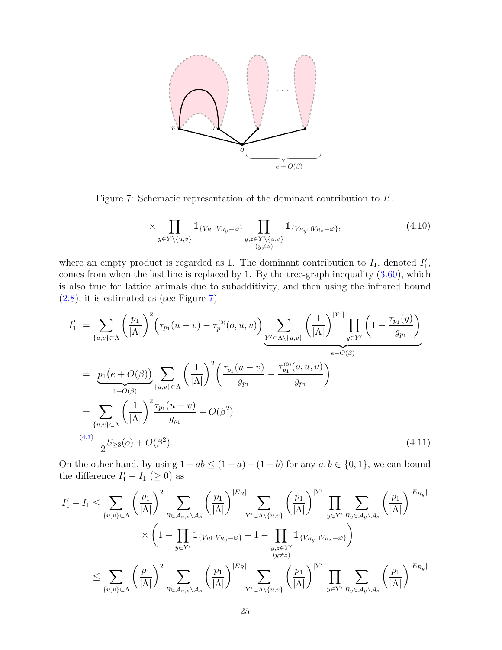

Figure 7: Schematic representation of the dominant contribution to  $I'_1$ .

<span id="page-24-0"></span>
$$
\times \prod_{y \in Y \setminus \{u, v\}} \mathbb{1}_{\{V_R \cap V_{R_y} = \varnothing\}} \prod_{\substack{y, z \in Y \setminus \{u, v\} \\ (y \neq z)}} \mathbb{1}_{\{V_{R_y} \cap V_{R_z} = \varnothing\}},
$$
\n(4.10)

where an empty product is regarded as 1. The dominant contribution to  $I_1$ , denoted  $I'_1$ , comes from when the last line is replaced by 1. By the tree-graph inequality [\(3.60\)](#page-19-2), which is also true for lattice animals due to subadditivity, and then using the infrared bound [\(2.8\)](#page-5-1), it is estimated as (see Figure [7\)](#page-24-0)

$$
I'_{1} = \sum_{\{u,v\} \subset \Lambda} \left(\frac{p_{1}}{|\Lambda|}\right)^{2} \left(\tau_{p_{1}}(u-v) - \tau_{p_{1}}^{(3)}(o,u,v)\right) \sum_{\substack{Y' \subset \Lambda \setminus \{u,v\} \\ \text{with } v \in Y'}} \left(\frac{1}{|\Lambda|}\right)^{|Y'|} \prod_{y \in Y'} \left(1 - \frac{\tau_{p_{1}}(y)}{g_{p_{1}}}\right)
$$
  
\n
$$
= \underbrace{p_{1}(e+O(\beta))}_{1+O(\beta)} \sum_{\{u,v\} \subset \Lambda} \left(\frac{1}{|\Lambda|}\right)^{2} \left(\frac{\tau_{p_{1}}(u-v)}{g_{p_{1}}}-\frac{\tau_{p_{1}}^{(3)}(o,u,v)}{g_{p_{1}}}\right)
$$
  
\n
$$
= \sum_{\{u,v\} \subset \Lambda} \left(\frac{1}{|\Lambda|}\right)^{2} \frac{\tau_{p_{1}}(u-v)}{g_{p_{1}}} + O(\beta^{2})
$$
  
\n
$$
\stackrel{(4.7)}{=} \frac{1}{2}S_{\geq 3}(o) + O(\beta^{2}). \tag{4.11}
$$

On the other hand, by using  $1 - ab \leq (1 - a) + (1 - b)$  for any  $a, b \in \{0, 1\}$ , we can bound the difference  $I'_1 - I_1 \; (\geq 0)$  as

$$
I'_{1} - I_{1} \leq \sum_{\{u,v\} \subset \Lambda} \left(\frac{p_{1}}{|\Lambda|}\right)^{2} \sum_{R \in \mathcal{A}_{u,v} \setminus \mathcal{A}_{o}} \left(\frac{p_{1}}{|\Lambda|}\right)^{|E_{R}|} \sum_{Y' \subset \Lambda \setminus \{u,v\}} \left(\frac{p_{1}}{|\Lambda|}\right)^{|Y'|} \prod_{y \in Y'} \sum_{R_{y} \in \mathcal{A}_{y} \setminus \mathcal{A}_{o}} \left(\frac{p_{1}}{|\Lambda|}\right)^{|E_{R_{y}}|} \times \left(1 - \prod_{y \in Y'} \mathbb{1}_{\{V_{R} \cap V_{R_{y}} = \varnothing\}} + 1 - \prod_{\substack{y,z \in Y' \\ (y \neq z)}} \mathbb{1}_{\{V_{R_{y}} \cap V_{R_{z}} = \varnothing\}}\right) \leq \sum_{\{u,v\} \subset \Lambda} \left(\frac{p_{1}}{|\Lambda|}\right)^{2} \sum_{R \in \mathcal{A}_{u,v} \setminus \mathcal{A}_{o}} \left(\frac{p_{1}}{|\Lambda|}\right)^{|E_{R}|} \sum_{Y' \subset \Lambda \setminus \{u,v\}} \left(\frac{p_{1}}{|\Lambda|}\right)^{|Y'|} \prod_{y \in Y'} \sum_{R_{y} \in \mathcal{A}_{y} \setminus \mathcal{A}_{o}} \left(\frac{p_{1}}{|\Lambda|}\right)^{|E_{R_{y}}|}
$$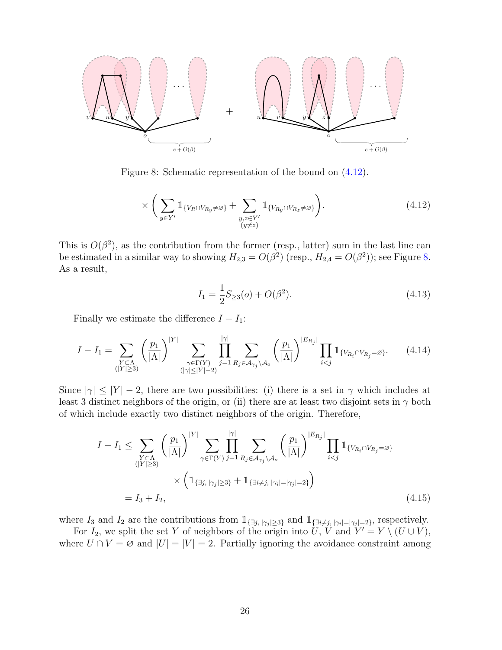

Figure 8: Schematic representation of the bound on [\(4.12\)](#page-25-0).

<span id="page-25-1"></span>
$$
\times \left( \sum_{y \in Y'} \mathbb{1}_{\{V_R \cap V_{R_y} \neq \varnothing\}} + \sum_{\substack{y,z \in Y' \\ (y \neq z)}} \mathbb{1}_{\{V_{R_y} \cap V_{R_z} \neq \varnothing\}} \right). \tag{4.12}
$$

This is  $O(\beta^2)$ , as the contribution from the former (resp., latter) sum in the last line can be estimated in a similar way to showing  $H_{2,3} = O(\beta^2)$  (resp.,  $H_{2,4} = O(\beta^2)$ ); see Figure [8.](#page-25-1) As a result,

<span id="page-25-0"></span>
$$
I_1 = \frac{1}{2}S_{\geq 3}(o) + O(\beta^2). \tag{4.13}
$$

Finally we estimate the difference  $I - I_1$ :

$$
I - I_1 = \sum_{\substack{Y \subset \Lambda \\ (|Y| \ge 3)}} \left(\frac{p_1}{|\Lambda|}\right)^{|Y|} \sum_{\substack{\gamma \in \Gamma(Y) \\ (|\gamma| \le |Y| - 2)}} \prod_{j=1}^{|\gamma|} \sum_{R_j \in \mathcal{A}_{\gamma_j} \setminus \mathcal{A}_o} \left(\frac{p_1}{|\Lambda|}\right)^{|E_{R_j}|} \prod_{i < j} \mathbb{1}_{\{V_{R_i} \cap V_{R_j} = \varnothing\}}.\tag{4.14}
$$

Since  $|\gamma| \leq |Y| - 2$ , there are two possibilities: (i) there is a set in  $\gamma$  which includes at least 3 distinct neighbors of the origin, or (ii) there are at least two disjoint sets in  $\gamma$  both of which include exactly two distinct neighbors of the origin. Therefore,

$$
I - I_1 \leq \sum_{\substack{Y \subset \Lambda \\ (|Y| \geq 3)}} \left(\frac{p_1}{|\Lambda|}\right)^{|Y|} \sum_{\gamma \in \Gamma(Y)} \prod_{j=1}^{|\gamma|} \sum_{R_j \in \mathcal{A}_{\gamma_j} \setminus \mathcal{A}_o} \left(\frac{p_1}{|\Lambda|}\right)^{|E_{R_j}|} \prod_{i < j} \mathbb{1}_{\{V_{R_i} \cap V_{R_j} = \varnothing\}} \\ \times \left(\mathbb{1}_{\{\exists j, |\gamma_j| \geq 3\}} + \mathbb{1}_{\{\exists i \neq j, |\gamma_i| = |\gamma_j| = 2\}}\right) \\ = I_3 + I_2, \tag{4.15}
$$

where  $I_3$  and  $I_2$  are the contributions from  $\mathbb{1}_{\{\exists j, |\gamma_j| \geq 3\}}$  and  $\mathbb{1}_{\{\exists i \neq j, |\gamma_i| = |\gamma_j| = 2\}}$ , respectively.

For  $I_2$ , we split the set Y of neighbors of the origin into U, V and  $Y' = Y \setminus (U \cup V)$ , where  $U \cap V = \emptyset$  and  $|U| = |V| = 2$ . Partially ignoring the avoidance constraint among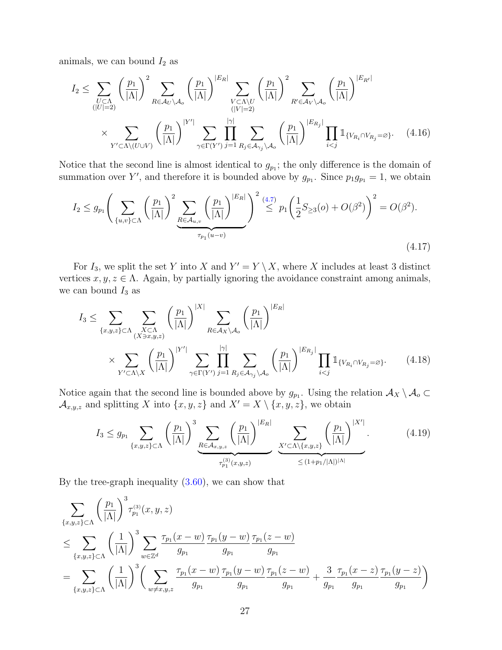animals, we can bound  $I_2$  as

$$
I_2 \leq \sum_{\substack{U \subset \Lambda \\ (|U|=2)}} \left(\frac{p_1}{|\Lambda|}\right)^2 \sum_{R \in \mathcal{A}_U \setminus \mathcal{A}_o} \left(\frac{p_1}{|\Lambda|}\right)^{|E_R|} \sum_{\substack{V \subset \Lambda \setminus U \\ (|V|=2)}} \left(\frac{p_1}{|\Lambda|}\right)^2 \sum_{R' \in \mathcal{A}_V \setminus \mathcal{A}_o} \left(\frac{p_1}{|\Lambda|}\right)^{|E_{R'}|} \sum_{\substack{(|V|=2) \\ \gamma \in \Gamma(V')}} \left(\frac{p_1}{|\Lambda|}\right)^{|V'|} \sum_{\gamma \in \Gamma(V')} \prod_{j=1}^{|\gamma|} \sum_{R_j \in \mathcal{A}_{\gamma_j} \setminus \mathcal{A}_o} \left(\frac{p_1}{|\Lambda|}\right)^{|E_{R_j}|} \prod_{i < j} \mathbb{1}_{\{V_{R_i} \cap V_{R_j} = \varnothing\}}.\tag{4.16}
$$

Notice that the second line is almost identical to  $g_{p_1}$ ; the only difference is the domain of summation over Y', and therefore it is bounded above by  $g_{p_1}$ . Since  $p_1g_{p_1} = 1$ , we obtain

$$
I_2 \le g_{p_1} \left( \sum_{\{u,v\} \subset \Lambda} \left( \frac{p_1}{|\Lambda|} \right)^2 \underbrace{\sum_{R \in \mathcal{A}_{u,v}} \left( \frac{p_1}{|\Lambda|} \right)^{|E_R|}}_{\tau_{p_1}(u-v)} \right)^2 \stackrel{(4.7)}{\le} p_1 \left( \frac{1}{2} S_{\ge 3}(o) + O(\beta^2) \right)^2 = O(\beta^2).
$$
\n(4.17)

For  $I_3$ , we split the set Y into X and  $Y' = Y \setminus X$ , where X includes at least 3 distinct vertices  $x, y, z \in \Lambda$ . Again, by partially ignoring the avoidance constraint among animals, we can bound  $I_3$  as

$$
I_{3} \leq \sum_{\{x,y,z\} \subset \Lambda} \sum_{\substack{X \subset \Lambda \\ (X \ni x,y,z)}} \left(\frac{p_{1}}{|\Lambda|}\right)^{|X|} \sum_{R \in \mathcal{A}_{X} \setminus \mathcal{A}_{o}} \left(\frac{p_{1}}{|\Lambda|}\right)^{|E_{R}|} \times \sum_{Y' \subset \Lambda \setminus X} \left(\frac{p_{1}}{|\Lambda|}\right)^{|Y'|} \sum_{\gamma \in \Gamma(Y')} \prod_{j=1}^{|\gamma|} \sum_{R_{j} \in \mathcal{A}_{\gamma_{j}} \setminus \mathcal{A}_{o}} \left(\frac{p_{1}}{|\Lambda|}\right)^{|E_{R_{j}}|} \prod_{i < j} \mathbb{1}_{\{V_{R_{i}} \cap V_{R_{j}} = \varnothing\}}.
$$
\n(4.18)

Notice again that the second line is bounded above by  $g_{p_1}$ . Using the relation  $\mathcal{A}_X \setminus \mathcal{A}_o \subset$  $\mathcal{A}_{x,y,z}$  and splitting X into  $\{x, y, z\}$  and  $X' = X \setminus \{x, y, z\}$ , we obtain

$$
I_{3} \le g_{p_{1}} \sum_{\{x,y,z\} \subset \Lambda} \left(\frac{p_{1}}{|\Lambda|}\right)^{3} \underbrace{\sum_{R \in \mathcal{A}_{x,y,z}} \left(\frac{p_{1}}{|\Lambda|}\right)^{|E_{R}|}}_{\tau_{p_{1}}^{(3)}(x,y,z)} \underbrace{\sum_{X' \subset \Lambda \setminus \{x,y,z\}} \left(\frac{p_{1}}{|\Lambda|}\right)^{|X'|}}_{\le (1+p_{1}/|\Lambda|)^{|\Lambda|}}.
$$
 (4.19)

By the tree-graph inequality [\(3.60\)](#page-19-2), we can show that

$$
\sum_{\{x,y,z\} \subset \Lambda} \left(\frac{p_1}{|\Lambda|}\right)^3 \tau_{p_1}^{(3)}(x,y,z)
$$
\n
$$
\leq \sum_{\{x,y,z\} \subset \Lambda} \left(\frac{1}{|\Lambda|}\right)^3 \sum_{w \in \mathbb{Z}^d} \frac{\tau_{p_1}(x-w)}{g_{p_1}} \frac{\tau_{p_1}(y-w)}{g_{p_1}} \frac{\tau_{p_1}(z-w)}{g_{p_1}}
$$
\n
$$
= \sum_{\{x,y,z\} \subset \Lambda} \left(\frac{1}{|\Lambda|}\right)^3 \left(\sum_{w \neq x,y,z} \frac{\tau_{p_1}(x-w)}{g_{p_1}} \frac{\tau_{p_1}(y-w)}{g_{p_1}} \frac{\tau_{p_1}(z-w)}{g_{p_1}} + \frac{3}{g_{p_1}} \frac{\tau_{p_1}(x-z)}{g_{p_1}} \frac{\tau_{p_1}(y-z)}{g_{p_1}}\right)
$$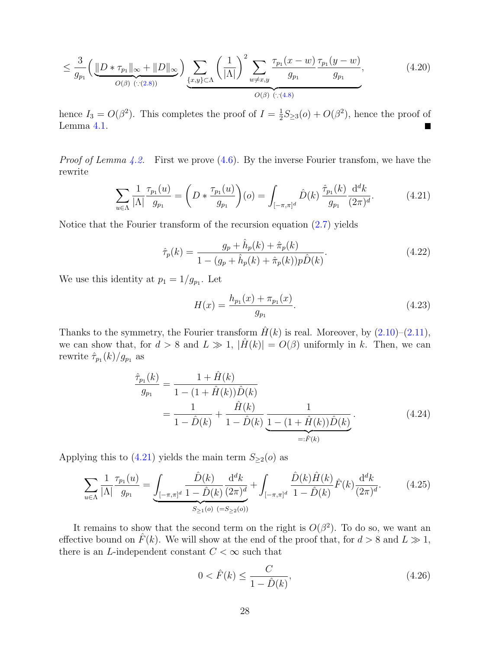$$
\leq \frac{3}{g_{p_1}} \left( \underbrace{\|D * \tau_{p_1}\|_{\infty} + \|D\|_{\infty}}_{O(\beta) \ (\because (2.8))} \right) \sum_{\{x,y\} \subset \Lambda} \left( \frac{1}{|\Lambda|} \right)^2 \sum_{w \neq x,y} \frac{\tau_{p_1}(x-w)}{g_{p_1}} \frac{\tau_{p_1}(y-w)}{g_{p_1}},\tag{4.20}
$$

hence  $I_3 = O(\beta^2)$ . This completes the proof of  $I = \frac{1}{2}$  $\frac{1}{2}S_{\geq 3}(o) + O(\beta^2)$ , hence the proof of Lemma [4.1.](#page-22-1)

*Proof of Lemma [4.2.](#page-23-3)* First we prove  $(4.6)$ . By the inverse Fourier transfom, we have the rewrite

$$
\sum_{u \in \Lambda} \frac{1}{|\Lambda|} \frac{\tau_{p_1}(u)}{g_{p_1}} = \left( D * \frac{\tau_{p_1}(u)}{g_{p_1}} \right)(o) = \int_{[-\pi,\pi]^d} \hat{D}(k) \frac{\hat{\tau}_{p_1}(k)}{g_{p_1}} \frac{\mathrm{d}^d k}{(2\pi)^d}.
$$
(4.21)

Notice that the Fourier transform of the recursion equation [\(2.7\)](#page-5-3) yields

$$
\hat{\tau}_p(k) = \frac{g_p + \hat{h}_p(k) + \hat{\pi}_p(k)}{1 - (g_p + \hat{h}_p(k) + \hat{\pi}_p(k))p\hat{D}(k)}.
$$
\n(4.22)

We use this identity at  $p_1 = 1/g_{p_1}$ . Let

<span id="page-27-3"></span><span id="page-27-0"></span>
$$
H(x) = \frac{h_{p_1}(x) + \pi_{p_1}(x)}{g_{p_1}}.\t(4.23)
$$

Thanks to the symmetry, the Fourier transform  $\hat{H}(k)$  is real. Moreover, by  $(2.10)$ – $(2.11)$ , we can show that, for  $d > 8$  and  $L \gg 1$ ,  $|\hat{H}(k)| = O(\beta)$  uniformly in k. Then, we can rewrite  $\hat{\tau}_{p_1}(k)/g_{p_1}$  as

$$
\frac{\hat{\tau}_{p_1}(k)}{g_{p_1}} = \frac{1 + \hat{H}(k)}{1 - (1 + \hat{H}(k))\hat{D}(k)} \n= \frac{1}{1 - \hat{D}(k)} + \frac{\hat{H}(k)}{1 - \hat{D}(k)} \underbrace{\frac{1}{1 - (1 + \hat{H}(k))\hat{D}(k)}}_{=: \hat{F}(k)}.
$$
\n(4.24)

Applying this to [\(4.21\)](#page-27-0) yields the main term  $S_{\geq 2}(o)$  as

$$
\sum_{u \in \Lambda} \frac{1}{|\Lambda|} \frac{\tau_{p_1}(u)}{g_{p_1}} = \underbrace{\int_{[-\pi,\pi]^d} \frac{\hat{D}(k)}{1 - \hat{D}(k)} \frac{\mathrm{d}^d k}{(2\pi)^d}}_{S_{\ge 1}(o)} + \int_{[-\pi,\pi]^d} \frac{\hat{D}(k)\hat{H}(k)}{1 - \hat{D}(k)} \hat{F}(k) \frac{\mathrm{d}^d k}{(2\pi)^d}.
$$
 (4.25)

It remains to show that the second term on the right is  $O(\beta^2)$ . To do so, we want an effective bound on  $\tilde{F}(k)$ . We will show at the end of the proof that, for  $d > 8$  and  $L \gg 1$ , there is an L-independent constant  $C < \infty$  such that

<span id="page-27-2"></span><span id="page-27-1"></span>
$$
0 < \hat{F}(k) \le \frac{C}{1 - \hat{D}(k)},\tag{4.26}
$$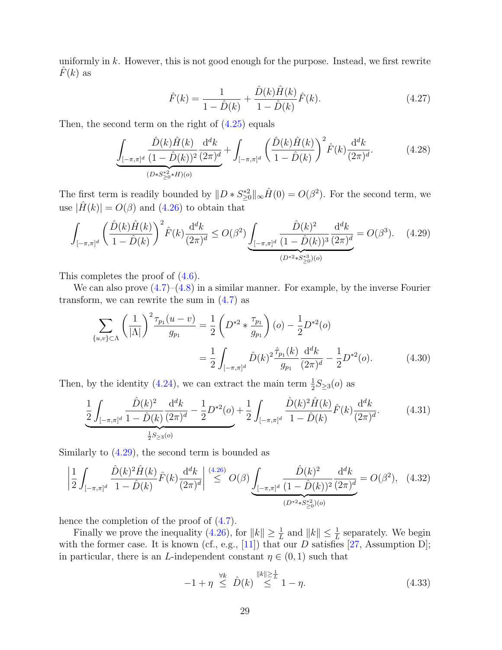uniformly in  $k$ . However, this is not good enough for the purpose. Instead, we first rewrite  $F(k)$  as

<span id="page-28-0"></span>
$$
\hat{F}(k) = \frac{1}{1 - \hat{D}(k)} + \frac{\hat{D}(k)\hat{H}(k)}{1 - \hat{D}(k)}\hat{F}(k).
$$
\n(4.27)

Then, the second term on the right of  $(4.25)$  equals

$$
\underbrace{\int_{[-\pi,\pi]^d} \frac{\hat{D}(k)\hat{H}(k)}{(1-\hat{D}(k))^2} \frac{\mathrm{d}^d k}{(2\pi)^d}}_{(D*S_{\geq 0}^{*2}*\hat{H})(o)} + \int_{[-\pi,\pi]^d} \left(\frac{\hat{D}(k)\hat{H}(k)}{1-\hat{D}(k)}\right)^2 \hat{F}(k) \frac{\mathrm{d}^d k}{(2\pi)^d}.
$$
 (4.28)

The first term is readily bounded by  $||D * S_{\geq 0}^{*2}||_{\infty} \hat{H}(0) = O(\beta^2)$ . For the second term, we use  $|\hat{H}(k)| = O(\beta)$  and  $(4.26)$  to obtain that

$$
\int_{[-\pi,\pi]^d} \left(\frac{\hat{D}(k)\hat{H}(k)}{1-\hat{D}(k)}\right)^2 \hat{F}(k) \frac{\mathrm{d}^d k}{(2\pi)^d} \le O(\beta^2) \underbrace{\int_{[-\pi,\pi]^d} \frac{\hat{D}(k)^2}{(1-\hat{D}(k))^3} \frac{\mathrm{d}^d k}{(2\pi)^d}}_{(D^{*2}*S_{\geq 0}^{*3})(o)} = O(\beta^3). \tag{4.29}
$$

This completes the proof of  $(4.6)$ .

We can also prove  $(4.7)$ – $(4.8)$  in a similar manner. For example, by the inverse Fourier transform, we can rewrite the sum in [\(4.7\)](#page-23-1) as

$$
\sum_{\{u,v\}\subset\Lambda} \left(\frac{1}{|\Lambda|}\right)^2 \frac{\tau_{p_1}(u-v)}{g_{p_1}} = \frac{1}{2} \left(D^{*2} * \frac{\tau_{p_1}}{g_{p_1}}\right)(o) - \frac{1}{2}D^{*2}(o)
$$

$$
= \frac{1}{2} \int_{[-\pi,\pi]^d} \hat{D}(k)^2 \frac{\hat{\tau}_{p_1}(k)}{g_{p_1}} \frac{d^d k}{(2\pi)^d} - \frac{1}{2}D^{*2}(o). \tag{4.30}
$$

Then, by the identity [\(4.24\)](#page-27-3), we can extract the main term  $\frac{1}{2}S_{\geq 3}(o)$  as

$$
\frac{1}{2} \int_{[-\pi,\pi]^d} \frac{\hat{D}(k)^2}{1-\hat{D}(k)} \frac{\mathrm{d}^d k}{(2\pi)^d} - \frac{1}{2} D^{*2}(o) + \frac{1}{2} \int_{[-\pi,\pi]^d} \frac{\hat{D}(k)^2 \hat{H}(k)}{1-\hat{D}(k)} \hat{F}(k) \frac{\mathrm{d}^d k}{(2\pi)^d}.
$$
 (4.31)

Similarly to [\(4.29\)](#page-28-0), the second term is bounded as

$$
\left| \frac{1}{2} \int_{[-\pi,\pi]^d} \frac{\hat{D}(k)^2 \hat{H}(k)}{1 - \hat{D}(k)} \hat{F}(k) \frac{\mathrm{d}^d k}{(2\pi)^d} \right| \stackrel{(4.26)}{\leq} O(\beta) \underbrace{\int_{[-\pi,\pi]^d} \frac{\hat{D}(k)^2}{(1 - \hat{D}(k))^2} \frac{\mathrm{d}^d k}{(2\pi)^d}}_{(D^{*2} \ast S_{\geq 0}^{*2})(o)} = O(\beta^2), \quad (4.32)
$$

hence the completion of the proof of  $(4.7)$ .

Finally we prove the inequality [\(4.26\)](#page-27-2), for  $||k|| \geq \frac{1}{L}$  and  $||k|| \leq \frac{1}{L}$  separately. We begin with the former case. It is known (cf., e.g., [\[11\]](#page-30-9)) that our  $D$  satisfies [\[27,](#page-30-12) Assumption D]; in particular, there is an L-independent constant  $\eta \in (0,1)$  such that

$$
-1 + \eta \stackrel{\forall k}{\leq} \hat{D}(k) \stackrel{\|k\| \geq \frac{1}{L}}{\leq} 1 - \eta. \tag{4.33}
$$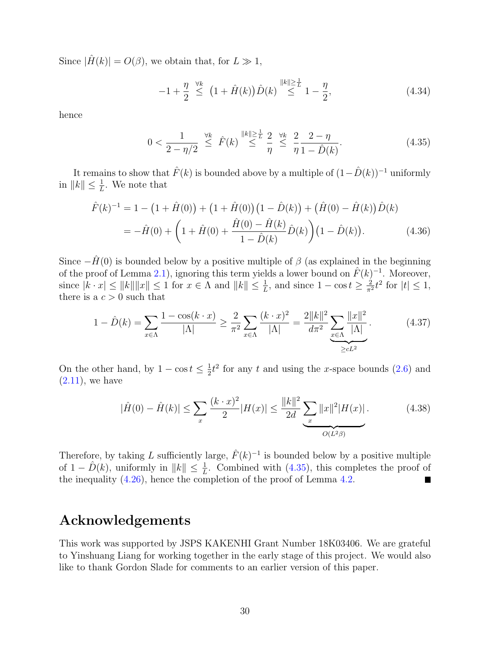Since  $|\hat{H}(k)| = O(\beta)$ , we obtain that, for  $L \gg 1$ ,

<span id="page-29-0"></span>
$$
-1 + \frac{\eta}{2} \stackrel{\forall k}{\le} (1 + \hat{H}(k)) \hat{D}(k) \stackrel{\|k\| \ge \frac{1}{L}}{\le} 1 - \frac{\eta}{2}, \tag{4.34}
$$

hence

$$
0 < \frac{1}{2 - \eta/2} \stackrel{\forall k}{\leq} \hat{F}(k) \stackrel{\|k\| \geq \frac{1}{L}}{\leq} \frac{2}{\eta} \stackrel{\forall k}{\leq} \frac{2}{\eta} \frac{2 - \eta}{1 - \hat{D}(k)}.\tag{4.35}
$$

It remains to show that  $\hat{F}(k)$  is bounded above by a multiple of  $(1-\hat{D}(k))^{-1}$  uniformly in  $||k|| \leq \frac{1}{L}$ . We note that

$$
\hat{F}(k)^{-1} = 1 - \left(1 + \hat{H}(0)\right) + \left(1 + \hat{H}(0)\right)\left(1 - \hat{D}(k)\right) + \left(\hat{H}(0) - \hat{H}(k)\right)\hat{D}(k)
$$
\n
$$
= -\hat{H}(0) + \left(1 + \hat{H}(0) + \frac{\hat{H}(0) - \hat{H}(k)}{1 - \hat{D}(k)}\hat{D}(k)\right)\left(1 - \hat{D}(k)\right). \tag{4.36}
$$

Since  $-\hat{H}(0)$  is bounded below by a positive multiple of  $\beta$  (as explained in the beginning of the proof of Lemma [2.1\)](#page-4-2), ignoring this term yields a lower bound on  $\hat{F}(k)^{-1}$ . Moreover, since  $|k \cdot x| \le ||k|| ||x|| \le 1$  for  $x \in \Lambda$  and  $||k|| \le \frac{1}{L}$ , and since  $1 - \cos t \ge \frac{2}{\pi^2} t^2$  for  $|t| \le 1$ , there is a  $c > 0$  such that

$$
1 - \hat{D}(k) = \sum_{x \in \Lambda} \frac{1 - \cos(k \cdot x)}{|\Lambda|} \ge \frac{2}{\pi^2} \sum_{x \in \Lambda} \frac{(k \cdot x)^2}{|\Lambda|} = \frac{2||k||^2}{d\pi^2} \sum_{x \in \Lambda} \frac{||x||^2}{|\Lambda|}.
$$
(4.37)

On the other hand, by  $1 - \cos t \leq \frac{1}{2}$  $\frac{1}{2}t^2$  for any t and using the x-space bounds [\(2.6\)](#page-5-0) and  $(2.11)$ , we have

$$
|\hat{H}(0) - \hat{H}(k)| \le \sum_{x} \frac{(k \cdot x)^2}{2} |H(x)| \le \frac{\|k\|^2}{2d} \underbrace{\sum_{x} \|x\|^2 |H(x)|}_{O(L^2 \beta)}.
$$
 (4.38)

Therefore, by taking L sufficiently large,  $\hat{F}(k)^{-1}$  is bounded below by a positive multiple of  $1 - \hat{D}(k)$ , uniformly in  $||k|| \leq \frac{1}{L}$ . Combined with [\(4.35\)](#page-29-0), this completes the proof of the inequality  $(4.26)$ , hence the completion of the proof of Lemma [4.2.](#page-23-3) Г

### Acknowledgements

This work was supported by JSPS KAKENHI Grant Number 18K03406. We are grateful to Yinshuang Liang for working together in the early stage of this project. We would also like to thank Gordon Slade for comments to an earlier version of this paper.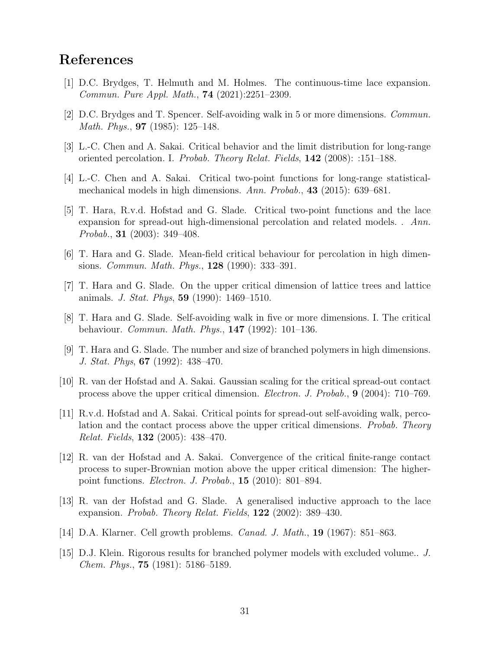### References

- <span id="page-30-8"></span>[1] D.C. Brydges, T. Helmuth and M. Holmes. The continuous-time lace expansion. Commun. Pure Appl. Math., 74 (2021):2251–2309.
- <span id="page-30-5"></span>[2] D.C. Brydges and T. Spencer. Self-avoiding walk in 5 or more dimensions. Commun. Math. Phys., 97 (1985): 125–148.
- <span id="page-30-11"></span>[3] L.-C. Chen and A. Sakai. Critical behavior and the limit distribution for long-range oriented percolation. I. Probab. Theory Relat. Fields, 142 (2008): :151–188.
- <span id="page-30-10"></span>[4] L.-C. Chen and A. Sakai. Critical two-point functions for long-range statisticalmechanical models in high dimensions. Ann. Probab., 43 (2015): 639–681.
- <span id="page-30-2"></span>[5] T. Hara, R.v.d. Hofstad and G. Slade. Critical two-point functions and the lace expansion for spread-out high-dimensional percolation and related models. . Ann. Probab., 31 (2003): 349–408.
- <span id="page-30-7"></span>[6] T. Hara and G. Slade. Mean-field critical behaviour for percolation in high dimensions. *Commun. Math. Phys.*, **128** (1990): 333–391.
- <span id="page-30-3"></span>[7] T. Hara and G. Slade. On the upper critical dimension of lattice trees and lattice animals. J. Stat. Phys, 59 (1990): 1469–1510.
- <span id="page-30-6"></span>[8] T. Hara and G. Slade. Self-avoiding walk in five or more dimensions. I. The critical behaviour. Commun. Math. Phys., 147 (1992): 101–136.
- <span id="page-30-4"></span>[9] T. Hara and G. Slade. The number and size of branched polymers in high dimensions. J. Stat. Phys, 67 (1992): 438–470.
- [10] R. van der Hofstad and A. Sakai. Gaussian scaling for the critical spread-out contact process above the upper critical dimension. Electron. J. Probab., 9 (2004): 710–769.
- <span id="page-30-9"></span>[11] R.v.d. Hofstad and A. Sakai. Critical points for spread-out self-avoiding walk, percolation and the contact process above the upper critical dimensions. *Probab. Theory* Relat. Fields, 132 (2005): 438–470.
- [12] R. van der Hofstad and A. Sakai. Convergence of the critical finite-range contact process to super-Brownian motion above the upper critical dimension: The higherpoint functions. Electron. J. Probab., 15 (2010): 801–894.
- <span id="page-30-12"></span>[13] R. van der Hofstad and G. Slade. A generalised inductive approach to the lace expansion. Probab. Theory Relat. Fields,  $122$  (2002): 389–430.
- <span id="page-30-1"></span>[14] D.A. Klarner. Cell growth problems. Canad. J. Math., 19 (1967): 851–863.
- <span id="page-30-0"></span>[15] D.J. Klein. Rigorous results for branched polymer models with excluded volume.. J. Chem. Phys., 75 (1981): 5186–5189.